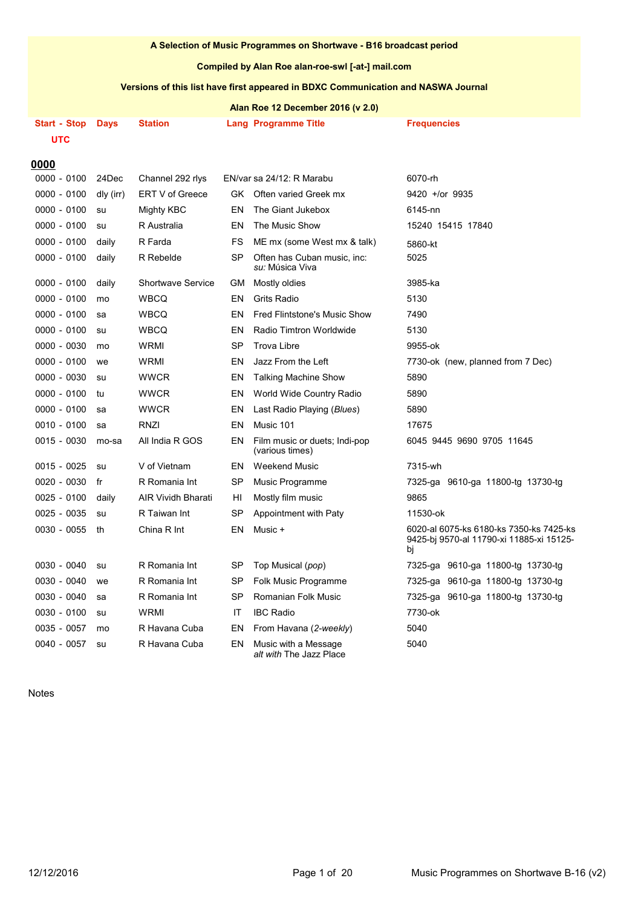#### **A Selection of Music Programmes on Shortwave - B16 broadcast period**

#### **Compiled by Alan Roe alan-roe-swl [-at-] mail.com**

## **Versions of this list have first appeared in BDXC Communication and NASWA Journal**

**Alan Roe 12 December 2016 (v 2.0)**

| <b>Start - Stop</b>   | <b>Days</b> | Station                   |           | Lang Programme Title                             | <b>Frequencies</b>                                                                        |
|-----------------------|-------------|---------------------------|-----------|--------------------------------------------------|-------------------------------------------------------------------------------------------|
| <b>UTC</b>            |             |                           |           |                                                  |                                                                                           |
|                       |             |                           |           |                                                  |                                                                                           |
| 0000<br>$0000 - 0100$ | 24Dec       | Channel 292 rlys          |           | EN/var sa 24/12: R Marabu                        | 6070-rh                                                                                   |
| $0000 - 0100$         | dly (irr)   | ERT V of Greece           |           | GK Often varied Greek mx                         | $9420 +$ /or 9935                                                                         |
| 0000 - 0100           | su          | Mighty KBC                | EN        | The Giant Jukebox                                | 6145-nn                                                                                   |
| 0000 - 0100           | su          | R Australia               | EN        | The Music Show                                   | 15240 15415 17840                                                                         |
| 0000 - 0100           | daily       | R Farda                   | FS        | ME mx (some West mx & talk)                      | 5860-kt                                                                                   |
| $0000 - 0100$         | daily       | R Rebelde                 | SP        | Often has Cuban music, inc:<br>su: Música Viva   | 5025                                                                                      |
| $0000 - 0100$         | daily       | <b>Shortwave Service</b>  | GМ        | Mostly oldies                                    | 3985-ka                                                                                   |
| 0000 - 0100           | mo          | <b>WBCO</b>               | EN        | <b>Grits Radio</b>                               | 5130                                                                                      |
| 0000 - 0100           | sa          | <b>WBCQ</b>               | EN        | Fred Flintstone's Music Show                     | 7490                                                                                      |
| $0000 - 0100$         | su          | <b>WBCQ</b>               | EN        | Radio Timtron Worldwide                          | 5130                                                                                      |
| 0000 - 0030           | mo          | WRMI                      | <b>SP</b> | <b>Trova Libre</b>                               | 9955-ok                                                                                   |
| $0000 - 0100$         | we          | WRMI                      | EN        | Jazz From the Left                               | 7730-ok (new, planned from 7 Dec)                                                         |
| 0000 - 0030           | su          | <b>WWCR</b>               | EN        | <b>Talking Machine Show</b>                      | 5890                                                                                      |
| 0000 - 0100           | tu          | <b>WWCR</b>               | EN        | World Wide Country Radio                         | 5890                                                                                      |
| 0000 - 0100           | sa          | <b>WWCR</b>               | EN        | Last Radio Playing (Blues)                       | 5890                                                                                      |
| $0010 - 0100$         | sa          | <b>RNZI</b>               | EN        | Music 101                                        | 17675                                                                                     |
| $0015 - 0030$         | mo-sa       | All India R GOS           | EN        | Film music or duets; Indi-pop<br>(various times) | 6045 9445 9690 9705 11645                                                                 |
| 0015 - 0025           | su          | V of Vietnam              | EN.       | <b>Weekend Music</b>                             | 7315-wh                                                                                   |
| 0020 - 0030           | fr          | R Romania Int             | SP        | Music Programme                                  | 7325-ga 9610-ga 11800-tg 13730-tg                                                         |
| $0025 - 0100$         | daily       | <b>AIR Vividh Bharati</b> | HI        | Mostly film music                                | 9865                                                                                      |
| $0025 - 0035$         | su          | R Taiwan Int              | SP        | Appointment with Paty                            | 11530-ok                                                                                  |
| 0030 - 0055           | th          | China R Int               | EN        | Music +                                          | 6020-al 6075-ks 6180-ks 7350-ks 7425-ks<br>9425-bj 9570-al 11790-xi 11885-xi 15125-<br>bj |
| $0030 - 0040$         | su          | R Romania Int             | SP        | Top Musical (pop)                                | 7325-ga 9610-ga 11800-tg 13730-tg                                                         |
| $0030 - 0040$         | we          | R Romania Int             | SP        | Folk Music Programme                             | 7325-ga 9610-ga 11800-tg 13730-tg                                                         |
| $0030 - 0040$         | sa          | R Romania Int             | <b>SP</b> | Romanian Folk Music                              | 7325-ga 9610-ga 11800-tg 13730-tg                                                         |
| $0030 - 0100$         | su          | <b>WRMI</b>               | IT        | <b>IBC Radio</b>                                 | 7730-ok                                                                                   |
| 0035 - 0057           | mo          | R Havana Cuba             | EN        | From Havana (2-weekly)                           | 5040                                                                                      |
| $0040 - 0057$         | su          | R Havana Cuba             | EN        | Music with a Message<br>alt with The Jazz Place  | 5040                                                                                      |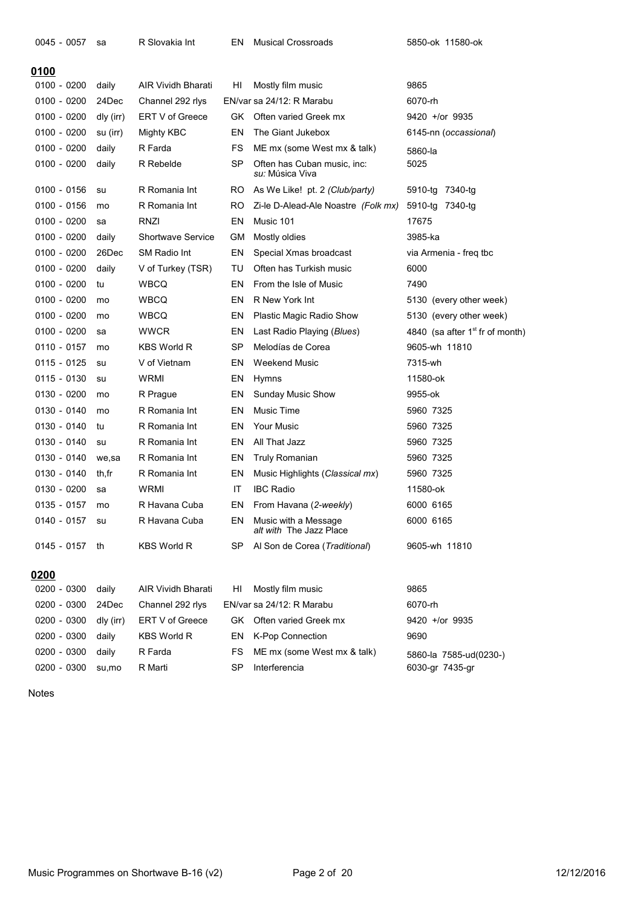| <u>0100</u>   |           |                           |           |                                                       |                                   |
|---------------|-----------|---------------------------|-----------|-------------------------------------------------------|-----------------------------------|
| $0100 - 0200$ | daily     | <b>AIR Vividh Bharati</b> | HI        | Mostly film music                                     | 9865                              |
| 0100 - 0200   | 24Dec     | Channel 292 rlys          |           | EN/var sa 24/12: R Marabu                             | 6070-rh                           |
| 0100 - 0200   | dly (irr) | ERT V of Greece           | GK.       | Often varied Greek mx                                 | $9420 +$ /or 9935                 |
| $0100 - 0200$ | su (irr)  | Mighty KBC                | EN        | The Giant Jukebox                                     | 6145-nn (occassional)             |
| 0100 - 0200   | daily     | R Farda                   | FS        | ME mx (some West mx & talk)                           | 5860-la                           |
| 0100 - 0200   | daily     | R Rebelde                 | SP        | Often has Cuban music, inc:<br><i>su:</i> Música Viva | 5025                              |
| $0100 - 0156$ | su        | R Romania Int             | RO.       | As We Like! pt. 2 (Club/party)                        | 5910-tg<br>7340-tg                |
| 0100 - 0156   | mo        | R Romania Int             | RO        | Zi-le D-Alead-Ale Noastre (Folk mx)                   | 5910-tg 7340-tg                   |
| 0100 - 0200   | sa        | RNZI                      | EN        | Music 101                                             | 17675                             |
| 0100 - 0200   | daily     | <b>Shortwave Service</b>  | GМ        | Mostly oldies                                         | 3985-ka                           |
| 0100 - 0200   | 26Dec     | SM Radio Int              | EN        | Special Xmas broadcast                                | via Armenia - freq tbc            |
| 0100 - 0200   | daily     | V of Turkey (TSR)         | TU        | Often has Turkish music                               | 6000                              |
| 0100 - 0200   | tu        | WBCQ                      | EN        | From the Isle of Music                                | 7490                              |
| 0100 - 0200   | mo        | WBCQ                      | EN        | R New York Int                                        | 5130 (every other week)           |
| 0100 - 0200   | mo        | WBCQ                      | EN        | Plastic Magic Radio Show                              | 5130 (every other week)           |
| 0100 - 0200   | sa        | <b>WWCR</b>               | EN        | Last Radio Playing ( <i>Blues</i> )                   | 4840 (sa after $1st$ fr of month) |
| 0110 - 0157   | mo        | <b>KBS World R</b>        | <b>SP</b> | Melodías de Corea                                     | 9605-wh 11810                     |
| 0115 - 0125   | su        | V of Vietnam              | EN        | Weekend Music                                         | 7315-wh                           |
| 0115 - 0130   | su        | WRMI                      | EN        | Hymns                                                 | 11580-ok                          |
| 0130 - 0200   | mo        | R Prague                  | EN        | <b>Sunday Music Show</b>                              | 9955-ok                           |
| 0130 - 0140   | mo        | R Romania Int             | EN        | <b>Music Time</b>                                     | 5960 7325                         |
| 0130 - 0140   | tu        | R Romania Int             | EN        | <b>Your Music</b>                                     | 5960 7325                         |
| 0130 - 0140   | su        | R Romania Int             | EN        | All That Jazz                                         | 5960 7325                         |
| 0130 - 0140   | we,sa     | R Romania Int             | EN        | Truly Romanian                                        | 5960 7325                         |
| 0130 - 0140   | th,fr     | R Romania Int             | EN        | Music Highlights (Classical mx)                       | 5960 7325                         |
| 0130 - 0200   | sa        | WRMI                      | IT        | <b>IBC Radio</b>                                      | 11580-ok                          |
| 0135 - 0157   | mo        | R Havana Cuba             | EN        | From Havana (2-weekly)                                | 6000 6165                         |
| $0140 - 0157$ | su        | R Havana Cuba             | EN        | Music with a Message<br>alt with The Jazz Place       | 6000 6165                         |
| 0145 - 0157   | th        | <b>KBS World R</b>        | SP        | Al Son de Corea (Traditional)                         | 9605-wh 11810                     |
|               |           |                           |           |                                                       |                                   |
| 0200          |           |                           |           |                                                       |                                   |
| 0200 - 0300   | daily     | <b>AIR Vividh Bharati</b> | HI        | Mostly film music                                     | 9865                              |
| 0200 - 0300   | 24Dec     | Channel 292 rlys          |           | EN/var sa 24/12: R Marabu                             | 6070-rh                           |
| 0200 - 0300   | dly (irr) | ERT V of Greece           | GK        | Often varied Greek mx                                 | 9420 +/or 9935                    |
| 0200 - 0300   | daily     | <b>KBS World R</b>        | EN        | <b>K-Pop Connection</b>                               | 9690                              |
| 0200 - 0300   | daily     | R Farda                   | FS        | ME mx (some West mx & talk)                           | 5860-la 7585-ud(0230-)            |
| 0200 - 0300   | su,mo     | R Marti                   | <b>SP</b> | Interferencia                                         | 6030-gr 7435-gr                   |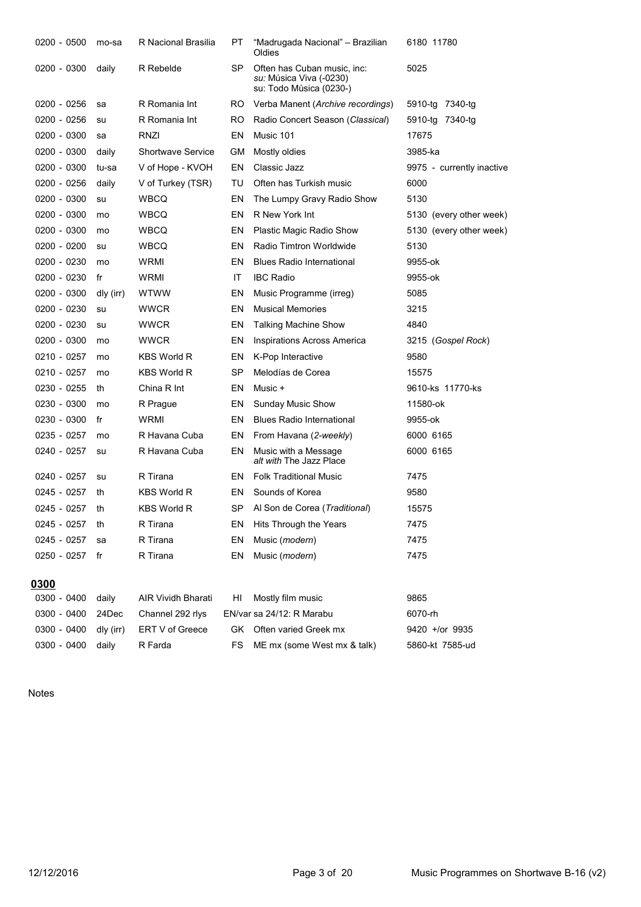| 0200 - 0500   | mo-sa     | R Nacional Brasilia      | PT  | "Madrugada Nacional" - Brazilian<br>Oldies                                        | 6180 11780                |
|---------------|-----------|--------------------------|-----|-----------------------------------------------------------------------------------|---------------------------|
| 0200 - 0300   | daily     | R Rebelde                | SP  | Often has Cuban music, inc:<br>su: Música Viva (-0230)<br>su: Todo Můsica (0230-) | 5025                      |
| $0200 - 0256$ | sa        | R Romania Int            | RO  | Verba Manent (Archive recordings)                                                 | 5910-tg 7340-tg           |
| 0200 - 0256   | su        | R Romania Int            | RO. | Radio Concert Season (Classical)                                                  | 5910-tg 7340-tg           |
| 0200 - 0300   | sa        | RNZI                     | EN  | Music 101                                                                         | 17675                     |
| 0200 - 0300   | daily     | <b>Shortwave Service</b> | GМ  | Mostly oldies                                                                     | 3985-ka                   |
| 0200 - 0300   | tu-sa     | V of Hope - KVOH         | EN  | Classic Jazz                                                                      | 9975 - currently inactive |
| 0200 - 0256   | daily     | V of Turkey (TSR)        | TU  | Often has Turkish music                                                           | 6000                      |
| 0200 - 0300   | su        | WBCQ                     | EN  | The Lumpy Gravy Radio Show                                                        | 5130                      |
| 0200 - 0300   | mo        | <b>WBCQ</b>              | EN  | R New York Int                                                                    | 5130 (every other week)   |
| 0200 - 0300   | mo        | <b>WBCQ</b>              | EN  | <b>Plastic Magic Radio Show</b>                                                   | 5130 (every other week)   |
| 0200 - 0200   | su        | <b>WBCQ</b>              | EN  | Radio Timtron Worldwide                                                           | 5130                      |
| 0200 - 0230   | mo        | WRMI                     | EN  | <b>Blues Radio International</b>                                                  | 9955-ok                   |
| 0200 - 0230   | fr        | WRMI                     | ΙT  | <b>IBC Radio</b>                                                                  | 9955-ok                   |
| 0200 - 0300   | dly (irr) | <b>WTWW</b>              | EN  | Music Programme (irreg)                                                           | 5085                      |
| 0200 - 0230   | su        | <b>WWCR</b>              | EN  | <b>Musical Memories</b>                                                           | 3215                      |
| 0200 - 0230   | su        | <b>WWCR</b>              | EN  | <b>Talking Machine Show</b>                                                       | 4840                      |
| 0200 - 0300   | mo        | <b>WWCR</b>              | EN  | <b>Inspirations Across America</b>                                                | 3215 (Gospel Rock)        |
| 0210 - 0257   | mo        | <b>KBS World R</b>       | EN  | K-Pop Interactive                                                                 | 9580                      |
| 0210 - 0257   | mo        | <b>KBS World R</b>       | SP  | Melodías de Corea                                                                 | 15575                     |
| 0230 - 0255   | th        | China R Int              | EN  | Music +                                                                           | 9610-ks 11770-ks          |
| 0230 - 0300   | mo        | R Prague                 | EN  | <b>Sunday Music Show</b>                                                          | 11580-ok                  |
| 0230 - 0300   | fr        | WRMI                     | EN  | <b>Blues Radio International</b>                                                  | 9955-ok                   |
| 0235 - 0257   | mo        | R Havana Cuba            | EN  | From Havana (2-weekly)                                                            | 6000 6165                 |
| 0240 - 0257   | su        | R Havana Cuba            | EN  | Music with a Message<br>alt with The Jazz Place                                   | 6000 6165                 |
| 0240 - 0257   | su        | R Tirana                 | EN  | <b>Folk Traditional Music</b>                                                     | 7475                      |
| 0245 - 0257   | th        | <b>KBS World R</b>       | EN  | Sounds of Korea                                                                   | 9580                      |
| 0245 - 0257   | th        | <b>KBS World R</b>       | SP  | Al Son de Corea (Traditional)                                                     | 15575                     |
| 0245 - 0257   | th        | R Tirana                 | EΝ  | Hits Through the Years                                                            | 7475                      |
| 0245 - 0257   | sa        | R Tirana                 | EN  | Music (modern)                                                                    | 7475                      |
| 0250 - 0257   | fr        | R Tirana                 | EN  | Music (modern)                                                                    | 7475                      |
| <u>0300</u>   |           |                          |     |                                                                                   |                           |
| 0300 - 0400   | daily     | AIR Vividh Bharati       | HI  | Mostly film music                                                                 | 9865                      |
| $0300 - 0400$ | 24Dec     | Channel 292 rlys         |     | EN/var sa 24/12: R Marabu                                                         | 6070-rh                   |
| 0300 - 0400   | dly (irr) | ERT V of Greece          | GK. | Often varied Greek mx                                                             | 9420 +/or 9935            |
| 0300 - 0400   | daily     | R Farda                  | FS  | ME mx (some West mx & talk)                                                       | 5860-kt 7585-ud           |
|               |           |                          |     |                                                                                   |                           |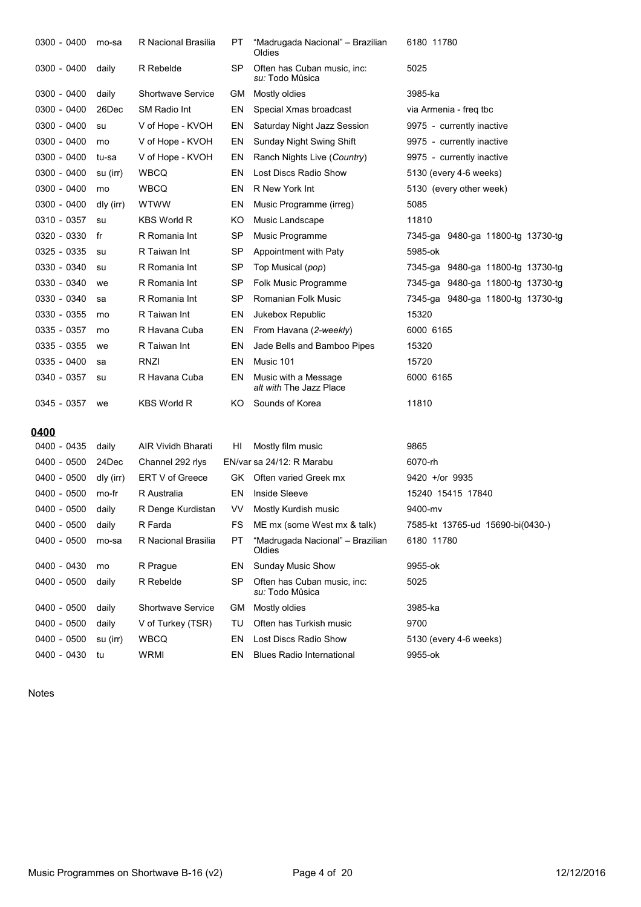| 0300 - 0400   | mo-sa     | R Nacional Brasilia    | РT        | "Madrugada Nacional" - Brazilian<br>Oldies      | 6180 11780                        |
|---------------|-----------|------------------------|-----------|-------------------------------------------------|-----------------------------------|
| $0300 - 0400$ | daily     | R Rebelde              | SP        | Often has Cuban music, inc:<br>su: Todo Můsica  | 5025                              |
| 0300 - 0400   | daily     | Shortwave Service      | GМ        | Mostly oldies                                   | 3985-ka                           |
| 0300 - 0400   | 26Dec     | <b>SM Radio Int</b>    | EN        | Special Xmas broadcast                          | via Armenia - freg tbc            |
| $0300 - 0400$ | su        | V of Hope - KVOH       | EN        | Saturday Night Jazz Session                     | 9975 - currently inactive         |
| 0300 - 0400   | mo        | V of Hope - KVOH       | EN        | Sunday Night Swing Shift                        | 9975 - currently inactive         |
| 0300 - 0400   | tu-sa     | V of Hope - KVOH       | EN        | Ranch Nights Live (Country)                     | 9975 - currently inactive         |
| 0300 - 0400   | su (irr)  | WBCQ                   | EN        | Lost Discs Radio Show                           | 5130 (every 4-6 weeks)            |
| 0300 - 0400   | mo        | <b>WBCQ</b>            | EN        | R New York Int                                  | 5130 (every other week)           |
| $0300 - 0400$ | dly (irr) | WTWW                   | EN        | Music Programme (irreg)                         | 5085                              |
| 0310 - 0357   | su        | <b>KBS World R</b>     | KO        | Music Landscape                                 | 11810                             |
| 0320 - 0330   | fr        | R Romania Int          | SP        | Music Programme                                 | 7345-ga 9480-ga 11800-tg 13730-tg |
| 0325 - 0335   | su        | R Taiwan Int           | SP        | Appointment with Paty                           | 5985-ok                           |
| 0330 - 0340   | su        | R Romania Int          | SP        | Top Musical (pop)                               | 7345-ga 9480-ga 11800-tg 13730-tg |
| 0330 - 0340   | we        | R Romania Int          | SP        | Folk Music Programme                            | 7345-ga 9480-ga 11800-tg 13730-tg |
| 0330 - 0340   | sa        | R Romania Int          | SP        | Romanian Folk Music                             | 7345-ga 9480-ga 11800-tg 13730-tg |
| 0330 - 0355   | mo        | R Taiwan Int           | EN        | Jukebox Republic                                | 15320                             |
| 0335 - 0357   | mo        | R Havana Cuba          | EN        | From Havana (2-weekly)                          | 6000 6165                         |
| 0335 - 0355   | we        | R Taiwan Int           | EN        | Jade Bells and Bamboo Pipes                     | 15320                             |
| 0335 - 0400   | sa        | <b>RNZI</b>            | EN        | Music 101                                       | 15720                             |
| 0340 - 0357   | su        | R Havana Cuba          | EN        | Music with a Message<br>alt with The Jazz Place | 6000 6165                         |
| 0345 - 0357   | we        | KBS World R            | ΚO        | Sounds of Korea                                 | 11810                             |
| 0400          |           |                        |           |                                                 |                                   |
| 0400 - 0435   | daily     | AIR Vividh Bharati     | HI        | Mostly film music                               | 9865                              |
| 0400 - 0500   | 24Dec     | Channel 292 rlys       |           | EN/var sa 24/12: R Marabu                       | 6070-rh                           |
| 0400 - 0500   | dly (irr) | <b>ERT V of Greece</b> | GK.       | Often varied Greek mx                           | $9420 +$ /or 9935                 |
| 0400 - 0500   | mo-fr     | R Australia            | EN        | <b>Inside Sleeve</b>                            | 15240 15415 17840                 |
| 0400 - 0500   | daily     | R Denge Kurdistan      | VV        | Mostly Kurdish music                            | 9400-mv                           |
| 0400 - 0500   | daily     | R Farda                | FS        | ME mx (some West mx & talk)                     | 7585-kt 13765-ud 15690-bi(0430-)  |
| 0400 - 0500   | mo-sa     | R Nacional Brasilia    | РT        | "Madrugada Nacional" - Brazilian<br>Oldies      | 6180 11780                        |
| 0400 - 0430   | mo        | R Prague               | EN        | <b>Sunday Music Show</b>                        | 9955-ok                           |
| 0400 - 0500   | daily     | R Rebelde              | SP        | Often has Cuban music, inc:<br>su: Todo Můsica  | 5025                              |
| 0400 - 0500   | daily     | Shortwave Service      | <b>GM</b> | Mostly oldies                                   | 3985-ka                           |
| 0400 - 0500   | daily     | V of Turkey (TSR)      | TU        | Often has Turkish music                         | 9700                              |
| 0400 - 0500   | su (irr)  | <b>WBCQ</b>            | EN        | Lost Discs Radio Show                           | 5130 (every 4-6 weeks)            |
| 0400 - 0430   | tu        | WRMI                   | EN        | <b>Blues Radio International</b>                | 9955-ok                           |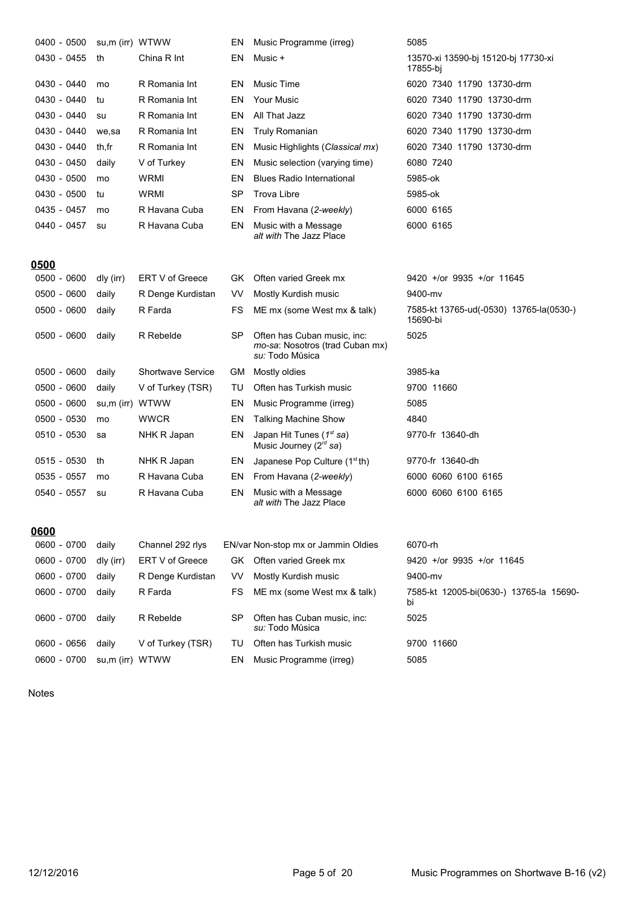| 0400 - 0500 | su,m (irr) WTWW |                          | EN        | Music Programme (irreg)                                                           | 5085                                                |
|-------------|-----------------|--------------------------|-----------|-----------------------------------------------------------------------------------|-----------------------------------------------------|
| 0430 - 0455 | th              | China R Int              | EN        | Music +                                                                           | 13570-xi 13590-bj 15120-bj 17730-xi<br>17855-bi     |
| 0430 - 0440 | mo              | R Romania Int            | EN        | <b>Music Time</b>                                                                 | 6020 7340 11790 13730-drm                           |
| 0430 - 0440 | tu              | R Romania Int            | EN        | <b>Your Music</b>                                                                 | 6020 7340 11790 13730-drm                           |
| 0430 - 0440 | su              | R Romania Int            | EN        | All That Jazz                                                                     | 6020 7340 11790 13730-drm                           |
| 0430 - 0440 | we,sa           | R Romania Int            | EN        | Truly Romanian                                                                    | 6020 7340 11790 13730-drm                           |
| 0430 - 0440 | th,fr           | R Romania Int            | EN        | Music Highlights (Classical mx)                                                   | 6020 7340 11790 13730-drm                           |
| 0430 - 0450 | daily           | V of Turkey              | EN        | Music selection (varying time)                                                    | 6080 7240                                           |
| 0430 - 0500 | mo              | WRMI                     | EN        | <b>Blues Radio International</b>                                                  | 5985-ok                                             |
| 0430 - 0500 | tu              | <b>WRMI</b>              | SP        | <b>Trova Libre</b>                                                                | 5985-ok                                             |
| 0435 - 0457 | mo              | R Havana Cuba            | EN        | From Havana (2-weekly)                                                            | 6000 6165                                           |
| 0440 - 0457 | su              | R Havana Cuba            | EN        | Music with a Message<br>alt with The Jazz Place                                   | 6000 6165                                           |
| 0500        |                 |                          |           |                                                                                   |                                                     |
| 0500 - 0600 | dly (irr)       | ERT V of Greece          | GK.       | Often varied Greek mx                                                             | $9420 +$ /or $9935 +$ /or 11645                     |
| 0500 - 0600 | daily           | R Denge Kurdistan        | VV        | Mostly Kurdish music                                                              | 9400-mv                                             |
| 0500 - 0600 | daily           | R Farda                  | FS        | ME mx (some West mx & talk)                                                       | 7585-kt 13765-ud(-0530) 13765-la(0530-)<br>15690-bi |
| 0500 - 0600 | daily           | R Rebelde                | <b>SP</b> | Often has Cuban music, inc:<br>mo-sa: Nosotros (trad Cuban mx)<br>su: Todo Můsica | 5025                                                |
| 0500 - 0600 | daily           | <b>Shortwave Service</b> | GM.       | Mostly oldies                                                                     | 3985-ka                                             |
| 0500 - 0600 | daily           | V of Turkey (TSR)        | TU        | Often has Turkish music                                                           | 9700 11660                                          |
| 0500 - 0600 | su,m (irr) WTWW |                          | EN        | Music Programme (irreg)                                                           | 5085                                                |
| 0500 - 0530 | mo              | <b>WWCR</b>              | EN        | <b>Talking Machine Show</b>                                                       | 4840                                                |
| 0510 - 0530 | sa              | NHK R Japan              | EN        | Japan Hit Tunes $(1st sa)$<br>Music Journey ( $2^{rd}$ sa)                        | 9770-fr 13640-dh                                    |
| 0515 - 0530 | th              | NHK R Japan              | EN        | Japanese Pop Culture $(1stth)$                                                    | 9770-fr 13640-dh                                    |
| 0535 - 0557 | mo              | R Havana Cuba            | EN        | From Havana (2-weekly)                                                            | 6000 6060 6100 6165                                 |
| 0540 - 0557 | su              | R Havana Cuba            | EN        | Music with a Message<br>alt with The Jazz Place                                   | 6000 6060 6100 6165                                 |
| 0600        |                 |                          |           |                                                                                   |                                                     |
| 0600 - 0700 | daily           | Channel 292 rlys         |           | EN/var Non-stop mx or Jammin Oldies                                               | 6070-rh                                             |
| 0600 - 0700 | dly (irr)       | ERT V of Greece          | GK.       | Often varied Greek mx                                                             | 9420 +/or 9935 +/or 11645                           |
| 0600 - 0700 | daily           | R Denge Kurdistan        | VV        | Mostly Kurdish music                                                              | 9400-mv                                             |
| 0600 - 0700 | daily           | R Farda                  | FS        | ME mx (some West mx & talk)                                                       | 7585-kt 12005-bi(0630-) 13765-la 15690-<br>bi       |
| 0600 - 0700 | daily           | R Rebelde                | SP        | Often has Cuban music, inc:<br>su: Todo Můsica                                    | 5025                                                |
| 0600 - 0656 | daily           | V of Turkey (TSR)        | TU        | Often has Turkish music                                                           | 9700 11660                                          |
| 0600 - 0700 | su,m (irr) WTWW |                          | EN        | Music Programme (irreg)                                                           | 5085                                                |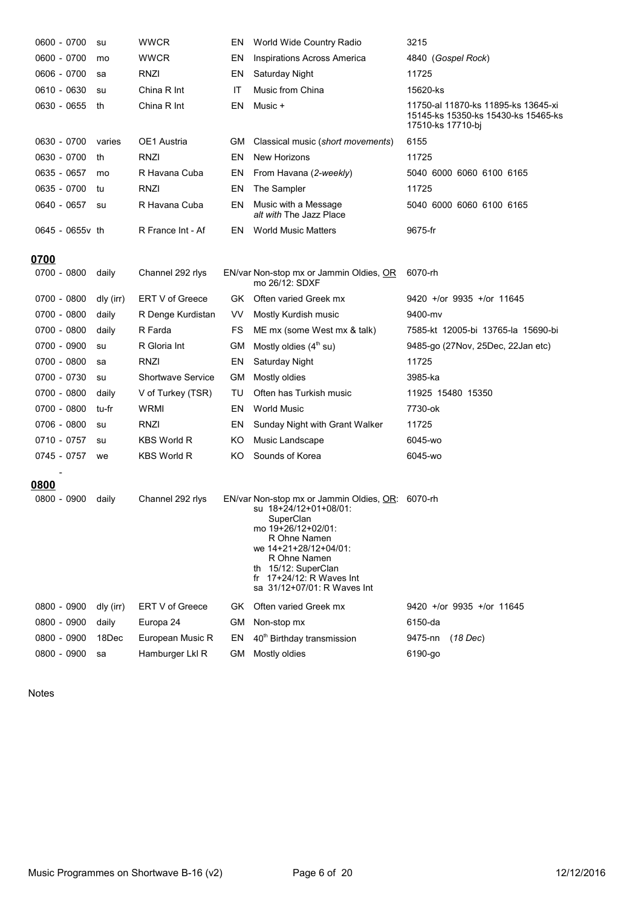| 0600 - 0700     | su        | <b>WWCR</b>              | EN  | World Wide Country Radio                                                                                                                                                                                                                           | 3215                                                                                            |
|-----------------|-----------|--------------------------|-----|----------------------------------------------------------------------------------------------------------------------------------------------------------------------------------------------------------------------------------------------------|-------------------------------------------------------------------------------------------------|
| 0600 - 0700     | mo        | <b>WWCR</b>              | EN  | <b>Inspirations Across America</b>                                                                                                                                                                                                                 | 4840 (Gospel Rock)                                                                              |
| 0606 - 0700     | sa        | RNZI                     | EN  | Saturday Night                                                                                                                                                                                                                                     | 11725                                                                                           |
| 0610 - 0630     | su        | China R Int              | IT  | Music from China                                                                                                                                                                                                                                   | 15620-ks                                                                                        |
| 0630 - 0655     | th        | China R Int              | EN  | Music +                                                                                                                                                                                                                                            | 11750-al 11870-ks 11895-ks 13645-xi<br>15145-ks 15350-ks 15430-ks 15465-ks<br>17510-ks 17710-bj |
| 0630 - 0700     | varies    | OE1 Austria              | GМ  | Classical music (short movements)                                                                                                                                                                                                                  | 6155                                                                                            |
| 0630 - 0700     | th        | RNZI                     | EN  | <b>New Horizons</b>                                                                                                                                                                                                                                | 11725                                                                                           |
| 0635 - 0657     | mo        | R Havana Cuba            | EN  | From Havana (2-weekly)                                                                                                                                                                                                                             | 5040 6000 6060 6100 6165                                                                        |
| 0635 - 0700     | tu        | RNZI                     | EN  | The Sampler                                                                                                                                                                                                                                        | 11725                                                                                           |
| 0640 - 0657     | su        | R Havana Cuba            | EN  | Music with a Message<br>alt with The Jazz Place                                                                                                                                                                                                    | 5040 6000 6060 6100 6165                                                                        |
| 0645 - 0655y th |           | R France Int - Af        | EN  | <b>World Music Matters</b>                                                                                                                                                                                                                         | 9675-fr                                                                                         |
| 0700            |           |                          |     |                                                                                                                                                                                                                                                    |                                                                                                 |
| 0700 - 0800     | daily     | Channel 292 rlys         |     | EN/var Non-stop mx or Jammin Oldies, OR<br>mo 26/12: SDXF                                                                                                                                                                                          | 6070-rh                                                                                         |
| 0700 - 0800     | dly (irr) | ERT V of Greece          | GK. | Often varied Greek mx                                                                                                                                                                                                                              | 9420 +/or 9935 +/or 11645                                                                       |
| 0700 - 0800     | daily     | R Denge Kurdistan        | VV. | Mostly Kurdish music                                                                                                                                                                                                                               | 9400-mv                                                                                         |
| 0700 - 0800     | daily     | R Farda                  | FS  | ME mx (some West mx & talk)                                                                                                                                                                                                                        | 7585-kt 12005-bi 13765-la 15690-bi                                                              |
| 0700 - 0900     | su        | R Gloria Int             | GМ  | Mostly oldies $(4th su)$                                                                                                                                                                                                                           | 9485-go (27Nov, 25Dec, 22Jan etc)                                                               |
| 0700 - 0800     | sa        | RNZI                     | EN  | Saturday Night                                                                                                                                                                                                                                     | 11725                                                                                           |
| 0700 - 0730     | su        | <b>Shortwave Service</b> | GМ  | Mostly oldies                                                                                                                                                                                                                                      | 3985-ka                                                                                         |
| 0700 - 0800     | daily     | V of Turkey (TSR)        | TU  | Often has Turkish music                                                                                                                                                                                                                            | 11925 15480 15350                                                                               |
| 0700 - 0800     | tu-fr     | WRMI                     | EN  | <b>World Music</b>                                                                                                                                                                                                                                 | 7730-ok                                                                                         |
| 0706 - 0800     | su        | RNZI                     | EN  | Sunday Night with Grant Walker                                                                                                                                                                                                                     | 11725                                                                                           |
| 0710 - 0757     | su        | <b>KBS World R</b>       | ΚO  | Music Landscape                                                                                                                                                                                                                                    | 6045-wo                                                                                         |
| 0745 - 0757     | we        | <b>KBS World R</b>       | ΚO  | Sounds of Korea                                                                                                                                                                                                                                    | 6045-wo                                                                                         |
| <u>0800</u>     |           |                          |     |                                                                                                                                                                                                                                                    |                                                                                                 |
| 0800 - 0900     | daily     | Channel 292 rlys         |     | EN/var Non-stop mx or Jammin Oldies, OR:<br>su 18+24/12+01+08/01:<br>SuperClan<br>mo 19+26/12+02/01:<br>R Ohne Namen<br>we 14+21+28/12+04/01:<br>R Ohne Namen<br>th 15/12: SuperClan<br>fr $17+24/12$ : R Waves Int<br>sa 31/12+07/01: R Waves Int | 6070-rh                                                                                         |
| 0800 - 0900     | dly (irr) | ERT V of Greece          | GK. | Often varied Greek mx                                                                                                                                                                                                                              | 9420 +/or 9935 +/or 11645                                                                       |
| 0800 - 0900     | daily     | Europa 24                | GМ  | Non-stop mx                                                                                                                                                                                                                                        | 6150-da                                                                                         |
| 0800 - 0900     | 18Dec     | European Music R         | EN  | 40 <sup>th</sup> Birthday transmission                                                                                                                                                                                                             | 9475-nn<br>$(18$ Dec)                                                                           |
| 0800 - 0900     | sa        | Hamburger Lkl R          | GM  | Mostly oldies                                                                                                                                                                                                                                      | 6190-go                                                                                         |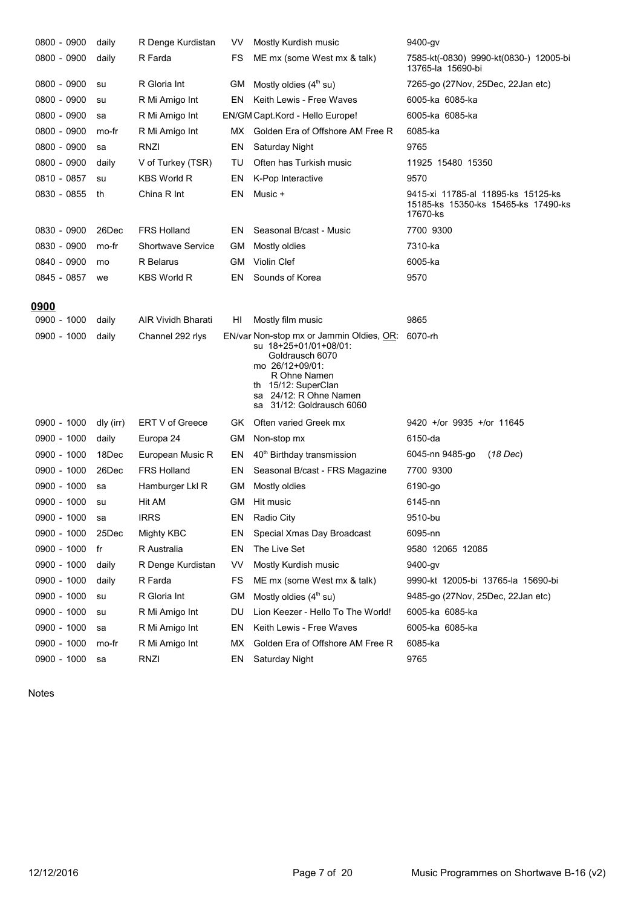| 0800 - 0900    | daily     | R Denge Kurdistan         | VV        | Mostly Kurdish music                                                                                                                                                                                  | 9400-gv                                                                               |
|----------------|-----------|---------------------------|-----------|-------------------------------------------------------------------------------------------------------------------------------------------------------------------------------------------------------|---------------------------------------------------------------------------------------|
| 0800 - 0900    | daily     | R Farda                   | FS        | ME mx (some West mx & talk)                                                                                                                                                                           | 7585-kt(-0830) 9990-kt(0830-) 12005-bi<br>13765-la 15690-bi                           |
| 0800 - 0900    | su        | R Gloria Int              | GМ        | Mostly oldies $(4th su)$                                                                                                                                                                              | 7265-go (27Nov, 25Dec, 22Jan etc)                                                     |
| 0800 - 0900    | su        | R Mi Amigo Int            | EN        | Keith Lewis - Free Waves                                                                                                                                                                              | 6005-ka 6085-ka                                                                       |
| 0800 - 0900    | sa        | R Mi Amigo Int            |           | EN/GM Capt.Kord - Hello Europe!                                                                                                                                                                       | 6005-ka 6085-ka                                                                       |
| 0800 - 0900    | mo-fr     | R Mi Amigo Int            | MX.       | Golden Era of Offshore AM Free R                                                                                                                                                                      | 6085-ka                                                                               |
| 0800 - 0900    | sa        | RNZI                      | EN        | Saturday Night                                                                                                                                                                                        | 9765                                                                                  |
| 0800 - 0900    | daily     | V of Turkey (TSR)         | TU        | Often has Turkish music                                                                                                                                                                               | 11925 15480 15350                                                                     |
| 0810 - 0857    | su        | <b>KBS World R</b>        | EN        | K-Pop Interactive                                                                                                                                                                                     | 9570                                                                                  |
| 0830 - 0855    | th        | China R Int               | EN        | Music +                                                                                                                                                                                               | 9415-xi 11785-al 11895-ks 15125-ks<br>15185-ks 15350-ks 15465-ks 17490-ks<br>17670-ks |
| 0830 - 0900    | 26Dec     | <b>FRS Holland</b>        | EN.       | Seasonal B/cast - Music                                                                                                                                                                               | 7700 9300                                                                             |
| 0830 - 0900    | mo-fr     | <b>Shortwave Service</b>  | GM        | Mostly oldies                                                                                                                                                                                         | 7310-ka                                                                               |
| 0840 - 0900    | mo        | R Belarus                 | GМ        | Violin Clef                                                                                                                                                                                           | 6005-ka                                                                               |
| 0845 - 0857    | we        | <b>KBS World R</b>        | EN        | Sounds of Korea                                                                                                                                                                                       | 9570                                                                                  |
|                |           |                           |           |                                                                                                                                                                                                       |                                                                                       |
| 0900           |           |                           |           |                                                                                                                                                                                                       |                                                                                       |
| 0900 - 1000    | daily     | <b>AIR Vividh Bharati</b> | HI        | Mostly film music                                                                                                                                                                                     | 9865                                                                                  |
| 0900 - 1000    | daily     | Channel 292 rlys          |           | EN/var Non-stop mx or Jammin Oldies, OR:<br>su 18+25+01/01+08/01:<br>Goldrausch 6070<br>mo 26/12+09/01:<br>R Ohne Namen<br>th 15/12: SuperClan<br>sa 24/12: R Ohne Namen<br>sa 31/12: Goldrausch 6060 | 6070-rh                                                                               |
| 0900 - 1000    | dly (irr) | ERT V of Greece           | GK.       | Often varied Greek mx                                                                                                                                                                                 | 9420 +/or 9935 +/or 11645                                                             |
| 0900 - 1000    | daily     | Europa 24                 | GМ        | Non-stop mx                                                                                                                                                                                           | 6150-da                                                                               |
| 0900 - 1000    | 18Dec     | European Music R          | EN        | 40 <sup>th</sup> Birthday transmission                                                                                                                                                                | 6045-nn 9485-go<br>(18 Dec)                                                           |
| 0900 - 1000    | 26Dec     | <b>FRS Holland</b>        | EN        | Seasonal B/cast - FRS Magazine                                                                                                                                                                        | 7700 9300                                                                             |
| 0900 - 1000    | sa        | Hamburger Lkl R           | GМ        | Mostly oldies                                                                                                                                                                                         | 6190-go                                                                               |
| 0900 - 1000    | su        | Hit AM                    | GM        | Hit music                                                                                                                                                                                             | 6145-nn                                                                               |
| 0900 - 1000 sa |           | <b>IRRS</b>               | EN        | Radio City                                                                                                                                                                                            | 9510-bu                                                                               |
| 0900 - 1000    | 25Dec     | Mighty KBC                | EN        | Special Xmas Day Broadcast                                                                                                                                                                            | 6095-nn                                                                               |
| 0900 - 1000    | fr        | R Australia               | EN        | The Live Set                                                                                                                                                                                          | 9580 12065 12085                                                                      |
| 0900 - 1000    | daily     | R Denge Kurdistan         | VV.       | Mostly Kurdish music                                                                                                                                                                                  | 9400-gv                                                                               |
| 0900 - 1000    | daily     | R Farda                   | FS        | ME mx (some West mx & talk)                                                                                                                                                                           | 9990-kt 12005-bi 13765-la 15690-bi                                                    |
| 0900 - 1000    | su        | R Gloria Int              | <b>GM</b> | Mostly oldies $(4th su)$                                                                                                                                                                              | 9485-go (27Nov, 25Dec, 22Jan etc)                                                     |
| 0900 - 1000    | su        | R Mi Amigo Int            | DU        | Lion Keezer - Hello To The World!                                                                                                                                                                     | 6005-ka 6085-ka                                                                       |
| 0900 - 1000    | sa        | R Mi Amigo Int            | EN        | Keith Lewis - Free Waves                                                                                                                                                                              | 6005-ka 6085-ka                                                                       |
| 0900 - 1000    | mo-fr     | R Mi Amigo Int            | МX        | Golden Era of Offshore AM Free R                                                                                                                                                                      | 6085-ka                                                                               |
| 0900 - 1000    | sa        | RNZI                      | EN        | Saturday Night                                                                                                                                                                                        | 9765                                                                                  |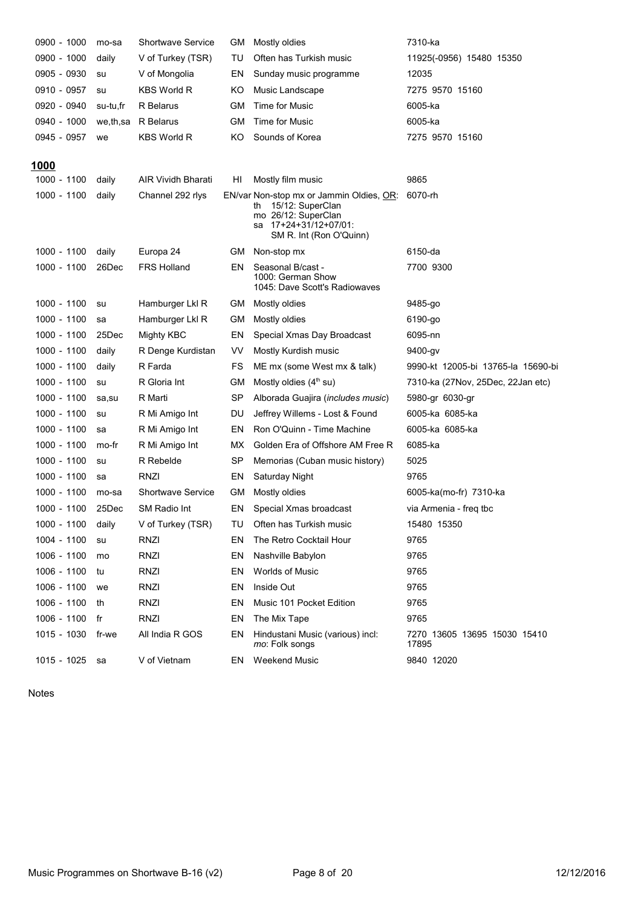| 0900 - 1000  | mo-sa    | <b>Shortwave Service</b>  | GМ  | Mostly oldies                                                                                                                                 | 7310-ka                               |
|--------------|----------|---------------------------|-----|-----------------------------------------------------------------------------------------------------------------------------------------------|---------------------------------------|
| 0900 - 1000  | daily    | V of Turkey (TSR)         | TU  | Often has Turkish music                                                                                                                       | 11925(-0956) 15480 15350              |
| 0905 - 0930  | su       | V of Mongolia             | EN  | Sunday music programme                                                                                                                        | 12035                                 |
| 0910 - 0957  | su       | <b>KBS World R</b>        | ΚO  | Music Landscape                                                                                                                               | 7275 9570 15160                       |
| 0920 - 0940  | su-tu,fr | R Belarus                 | GМ  | Time for Music                                                                                                                                | 6005-ka                               |
| 0940 - 1000  | we,th,sa | R Belarus                 | GМ  | Time for Music                                                                                                                                | 6005-ka                               |
| 0945 - 0957  | we       | KBS World R               | ΚO  | Sounds of Korea                                                                                                                               | 7275 9570 15160                       |
| <u> 1000</u> |          |                           |     |                                                                                                                                               |                                       |
| 1000 - 1100  | daily    | <b>AIR Vividh Bharati</b> | HI  | Mostly film music                                                                                                                             | 9865                                  |
| 1000 - 1100  | daily    | Channel 292 rlys          |     | EN/var Non-stop mx or Jammin Oldies, OR:<br>15/12: SuperClan<br>th<br>mo 26/12: SuperClan<br>sa 17+24+31/12+07/01:<br>SM R. Int (Ron O'Quinn) | 6070-rh                               |
| 1000 - 1100  | daily    | Europa 24                 | GM  | Non-stop mx                                                                                                                                   | 6150-da                               |
| 1000 - 1100  | 26Dec    | <b>FRS Holland</b>        | EN  | Seasonal B/cast -<br>1000: German Show<br>1045: Dave Scott's Radiowaves                                                                       | 7700 9300                             |
| 1000 - 1100  | su       | Hamburger Lkl R           | GM. | Mostly oldies                                                                                                                                 | 9485-go                               |
| 1000 - 1100  | sa       | Hamburger Lkl R           | GМ  | Mostly oldies                                                                                                                                 | 6190-go                               |
| 1000 - 1100  | 25Dec    | Mighty KBC                | EN  | Special Xmas Day Broadcast                                                                                                                    | 6095-nn                               |
| 1000 - 1100  | daily    | R Denge Kurdistan         | VV. | Mostly Kurdish music                                                                                                                          | 9400-gv                               |
| 1000 - 1100  | daily    | R Farda                   | FS  | ME mx (some West mx & talk)                                                                                                                   | 9990-kt 12005-bi 13765-la 15690-bi    |
| 1000 - 1100  | su       | R Gloria Int              | GМ  | Mostly oldies $(4th$ su)                                                                                                                      | 7310-ka (27Nov, 25Dec, 22Jan etc)     |
| 1000 - 1100  | sa,su    | R Marti                   | SP  | Alborada Guajira ( <i>includes music</i> )                                                                                                    | 5980-gr 6030-gr                       |
| 1000 - 1100  | su       | R Mi Amigo Int            | DU  | Jeffrey Willems - Lost & Found                                                                                                                | 6005-ka 6085-ka                       |
| 1000 - 1100  | sa       | R Mi Amigo Int            | ΕN  | Ron O'Quinn - Time Machine                                                                                                                    | 6005-ka 6085-ka                       |
| 1000 - 1100  | mo-fr    | R Mi Amigo Int            | МX  | Golden Era of Offshore AM Free R                                                                                                              | 6085-ka                               |
| 1000 - 1100  | su       | R Rebelde                 | SP  | Memorias (Cuban music history)                                                                                                                | 5025                                  |
| 1000 - 1100  | sa       | RNZI                      | EN  | <b>Saturday Night</b>                                                                                                                         | 9765                                  |
| 1000 - 1100  | mo-sa    | <b>Shortwave Service</b>  | GМ  | Mostly oldies                                                                                                                                 | 6005-ka(mo-fr) 7310-ka                |
| 1000 - 1100  | 25Dec    | SM Radio Int              | EN  | Special Xmas broadcast                                                                                                                        | via Armenia - freg tbc                |
| 1000 - 1100  | daily    | V of Turkey (TSR)         | TU  | Often has Turkish music                                                                                                                       | 15480 15350                           |
| 1004 - 1100  | su       | RNZI                      | ΕN  | The Retro Cocktail Hour                                                                                                                       | 9765                                  |
| 1006 - 1100  | mo       | RNZI                      | ΕN  | Nashville Babylon                                                                                                                             | 9765                                  |
| 1006 - 1100  | tu       | RNZI                      | ΕN  | <b>Worlds of Music</b>                                                                                                                        | 9765                                  |
| 1006 - 1100  | we       | <b>RNZI</b>               | ΕN  | Inside Out                                                                                                                                    | 9765                                  |
| 1006 - 1100  | th       | RNZI                      | ΕN  | Music 101 Pocket Edition                                                                                                                      | 9765                                  |
| 1006 - 1100  | fr       | RNZI                      | ΕN  | The Mix Tape                                                                                                                                  | 9765                                  |
| 1015 - 1030  | fr-we    | All India R GOS           | EN  | Hindustani Music (various) incl:<br>mo: Folk songs                                                                                            | 7270 13605 13695 15030 15410<br>17895 |
| 1015 - 1025  | sa       | V of Vietnam              | EN  | <b>Weekend Music</b>                                                                                                                          | 9840 12020                            |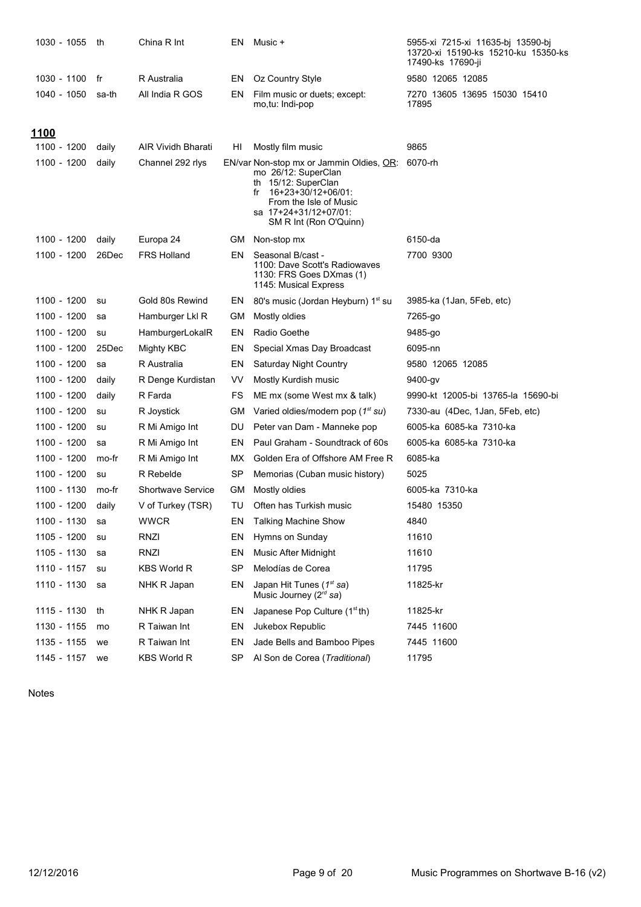| 1030 - 1055 | th    | China R Int               | ΕN        | Music +                                                                                                                                                                                         | 5955-xi 7215-xi 11635-bj 13590-bj<br>13720-xi 15190-ks 15210-ku 15350-ks<br>17490-ks 17690-ji |
|-------------|-------|---------------------------|-----------|-------------------------------------------------------------------------------------------------------------------------------------------------------------------------------------------------|-----------------------------------------------------------------------------------------------|
| 1030 - 1100 | fr    | R Australia               | EN        | Oz Country Style                                                                                                                                                                                | 9580 12065 12085                                                                              |
| 1040 - 1050 | sa-th | All India R GOS           | EN        | Film music or duets; except:<br>mo,tu: Indi-pop                                                                                                                                                 | 7270 13605 13695 15030 15410<br>17895                                                         |
| <u>1100</u> |       |                           |           |                                                                                                                                                                                                 |                                                                                               |
| 1100 - 1200 | daily | <b>AIR Vividh Bharati</b> | HI        | Mostly film music                                                                                                                                                                               | 9865                                                                                          |
| 1100 - 1200 | daily | Channel 292 rlys          |           | EN/var Non-stop mx or Jammin Oldies, OR:<br>mo 26/12: SuperClan<br>th 15/12: SuperClan<br>16+23+30/12+06/01:<br>fr<br>From the Isle of Music<br>sa 17+24+31/12+07/01:<br>SM R Int (Ron O'Quinn) | 6070-rh                                                                                       |
| 1100 - 1200 | daily | Europa 24                 | GM -      | Non-stop mx                                                                                                                                                                                     | 6150-da                                                                                       |
| 1100 - 1200 | 26Dec | <b>FRS Holland</b>        | EN        | Seasonal B/cast -<br>1100: Dave Scott's Radiowaves<br>1130: FRS Goes DXmas (1)<br>1145: Musical Express                                                                                         | 7700 9300                                                                                     |
| 1100 - 1200 | su    | Gold 80s Rewind           | EN        | 80's music (Jordan Heyburn) 1 <sup>st</sup> su                                                                                                                                                  | 3985-ka (1Jan, 5Feb, etc)                                                                     |
| 1100 - 1200 | sa    | Hamburger Lkl R           | GМ        | Mostly oldies                                                                                                                                                                                   | 7265-go                                                                                       |
| 1100 - 1200 | su    | HamburgerLokalR           | EN        | Radio Goethe                                                                                                                                                                                    | 9485-go                                                                                       |
| 1100 - 1200 | 25Dec | Mighty KBC                | EN        | Special Xmas Day Broadcast                                                                                                                                                                      | 6095-nn                                                                                       |
| 1100 - 1200 | sa    | R Australia               | EN        | <b>Saturday Night Country</b>                                                                                                                                                                   | 9580 12065 12085                                                                              |
| 1100 - 1200 | daily | R Denge Kurdistan         | VV        | Mostly Kurdish music                                                                                                                                                                            | 9400-gv                                                                                       |
| 1100 - 1200 | daily | R Farda                   | FS        | ME mx (some West mx & talk)                                                                                                                                                                     | 9990-kt 12005-bi 13765-la 15690-bi                                                            |
| 1100 - 1200 | su    | R Joystick                | GМ        | Varied oldies/modern pop (1 <sup>st</sup> su)                                                                                                                                                   | 7330-au (4Dec, 1Jan, 5Feb, etc)                                                               |
| 1100 - 1200 | su    | R Mi Amigo Int            | DU        | Peter van Dam - Manneke pop                                                                                                                                                                     | 6005-ka 6085-ka 7310-ka                                                                       |
| 1100 - 1200 | sa    | R Mi Amigo Int            | EN        | Paul Graham - Soundtrack of 60s                                                                                                                                                                 | 6005-ka 6085-ka 7310-ka                                                                       |
| 1100 - 1200 | mo-fr | R Mi Amigo Int            | MX.       | Golden Era of Offshore AM Free R                                                                                                                                                                | 6085-ka                                                                                       |
| 1100 - 1200 | su    | R Rebelde                 | <b>SP</b> | Memorias (Cuban music history)                                                                                                                                                                  | 5025                                                                                          |
| 1100 - 1130 | mo-fr | <b>Shortwave Service</b>  | GМ        | Mostly oldies                                                                                                                                                                                   | 6005-ka 7310-ka                                                                               |
| 1100 - 1200 | daily | V of Turkey (TSR)         | TU        | Often has Turkish music                                                                                                                                                                         | 15480 15350                                                                                   |
| 1100 - 1130 | sa    | <b>WWCR</b>               | EN        | <b>Talking Machine Show</b>                                                                                                                                                                     | 4840                                                                                          |
| 1105 - 1200 | su    | RNZI                      | EN        | Hymns on Sunday                                                                                                                                                                                 | 11610                                                                                         |
| 1105 - 1130 | sa    | RNZI                      | EN        | Music After Midnight                                                                                                                                                                            | 11610                                                                                         |
| 1110 - 1157 | su    | KBS World R               | <b>SP</b> | Melodías de Corea                                                                                                                                                                               | 11795                                                                                         |
| 1110 - 1130 | sa    | NHK R Japan               | EN        | Japan Hit Tunes (1 <sup>st</sup> sa)<br>Music Journey (2rd sa)                                                                                                                                  | 11825-kr                                                                                      |
| 1115 - 1130 | th    | NHK R Japan               | EN        | Japanese Pop Culture $(1stth)$                                                                                                                                                                  | 11825-kr                                                                                      |
| 1130 - 1155 | mo    | R Taiwan Int              | EN        | Jukebox Republic                                                                                                                                                                                | 7445 11600                                                                                    |
| 1135 - 1155 | we    | R Taiwan Int              | EN        | Jade Bells and Bamboo Pipes                                                                                                                                                                     | 7445 11600                                                                                    |
| 1145 - 1157 | we    | KBS World R               | <b>SP</b> | Al Son de Corea (Traditional)                                                                                                                                                                   | 11795                                                                                         |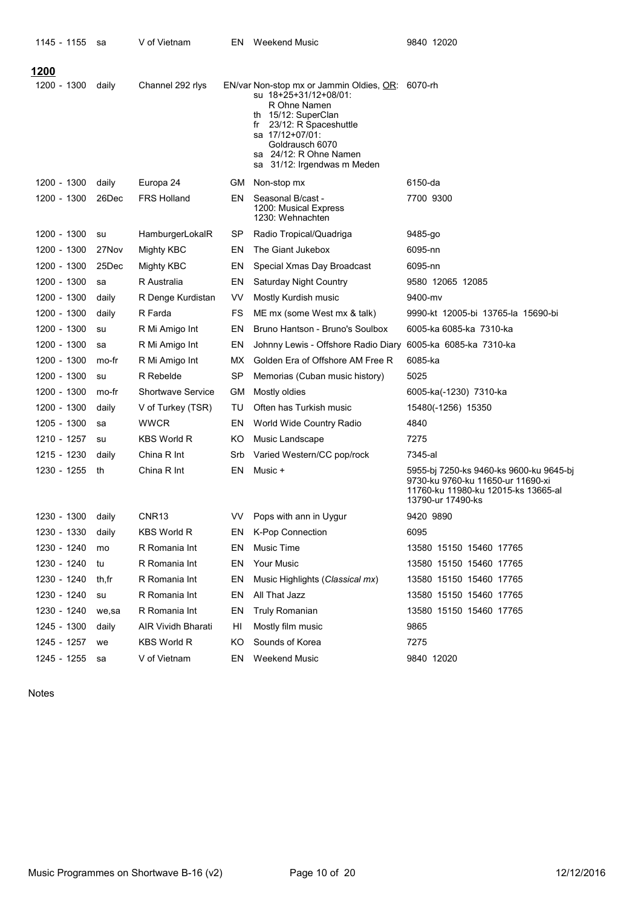| 1145 - 1155       | sa    | V of Vietnam             | ΕN  | <b>Weekend Music</b>                                                                                                                                                                                                                           | 9840 12020                                                                                                                               |
|-------------------|-------|--------------------------|-----|------------------------------------------------------------------------------------------------------------------------------------------------------------------------------------------------------------------------------------------------|------------------------------------------------------------------------------------------------------------------------------------------|
| <u> 1200</u>      |       |                          |     |                                                                                                                                                                                                                                                |                                                                                                                                          |
| 1200 - 1300       | daily | Channel 292 rlys         |     | EN/var Non-stop mx or Jammin Oldies, OR: 6070-rh<br>su 18+25+31/12+08/01:<br>R Ohne Namen<br>th 15/12: SuperClan<br>23/12: R Spaceshuttle<br>fr<br>sa 17/12+07/01:<br>Goldrausch 6070<br>sa 24/12: R Ohne Namen<br>sa 31/12: Irgendwas m Meden |                                                                                                                                          |
| 1200 - 1300       | daily | Europa 24                | GM  | Non-stop mx                                                                                                                                                                                                                                    | 6150-da                                                                                                                                  |
| 1200 - 1300       | 26Dec | <b>FRS Holland</b>       | EN. | Seasonal B/cast -<br>1200: Musical Express<br>1230: Wehnachten                                                                                                                                                                                 | 7700 9300                                                                                                                                |
| 1200 - 1300       | su    | HamburgerLokalR          | SP  | Radio Tropical/Quadriga                                                                                                                                                                                                                        | 9485-go                                                                                                                                  |
| 1200 - 1300       | 27Nov | Mighty KBC               | EN  | The Giant Jukebox                                                                                                                                                                                                                              | 6095-nn                                                                                                                                  |
| 1200 - 1300       | 25Dec | Mighty KBC               | EN  | Special Xmas Day Broadcast                                                                                                                                                                                                                     | 6095-nn                                                                                                                                  |
| 1200 - 1300       | sa    | R Australia              | EN  | <b>Saturday Night Country</b>                                                                                                                                                                                                                  | 9580 12065 12085                                                                                                                         |
| 1200 - 1300       | daily | R Denge Kurdistan        | VV  | Mostly Kurdish music                                                                                                                                                                                                                           | 9400-mv                                                                                                                                  |
| 1200 - 1300       | daily | R Farda                  | FS  | ME mx (some West mx & talk)                                                                                                                                                                                                                    | 9990-kt 12005-bi 13765-la 15690-bi                                                                                                       |
| 1200 - 1300       | su    | R Mi Amigo Int           | EN  | Bruno Hantson - Bruno's Soulbox                                                                                                                                                                                                                | 6005-ka 6085-ka 7310-ka                                                                                                                  |
| 1200 - 1300       | sa    | R Mi Amigo Int           | EN  | Johnny Lewis - Offshore Radio Diary                                                                                                                                                                                                            | 6005-ka 6085-ka 7310-ka                                                                                                                  |
| 1200 - 1300       | mo-fr | R Mi Amigo Int           | МX  | Golden Era of Offshore AM Free R                                                                                                                                                                                                               | 6085-ka                                                                                                                                  |
| 1200 - 1300       | su    | R Rebelde                | SP  | Memorias (Cuban music history)                                                                                                                                                                                                                 | 5025                                                                                                                                     |
| 1200 - 1300       | mo-fr | <b>Shortwave Service</b> | GМ  | Mostly oldies                                                                                                                                                                                                                                  | 6005-ka(-1230) 7310-ka                                                                                                                   |
| 1200 - 1300       | daily | V of Turkey (TSR)        | TU  | Often has Turkish music                                                                                                                                                                                                                        | 15480(-1256) 15350                                                                                                                       |
| 1205 - 1300       | sa    | <b>WWCR</b>              | EN  | World Wide Country Radio                                                                                                                                                                                                                       | 4840                                                                                                                                     |
| 1210 - 1257       | su    | <b>KBS World R</b>       | ΚO  | Music Landscape                                                                                                                                                                                                                                | 7275                                                                                                                                     |
| 1215 - 1230       | daily | China R Int              | Srb | Varied Western/CC pop/rock                                                                                                                                                                                                                     | 7345-al                                                                                                                                  |
| 1230 - 1255       | th    | China R Int              | EN  | Music +                                                                                                                                                                                                                                        | 5955-bj 7250-ks 9460-ks 9600-ku 9645-bj<br>9730-ku 9760-ku 11650-ur 11690-xi<br>11760-ku 11980-ku 12015-ks 13665-al<br>13790-ur 17490-ks |
| 1230 - 1300 daily |       | CNR <sub>13</sub>        | VV  | Pops with ann in Uygur                                                                                                                                                                                                                         | 9420 9890                                                                                                                                |
| 1230 - 1330       | daily | KBS World R              | EN. | K-Pop Connection                                                                                                                                                                                                                               | 6095                                                                                                                                     |
| 1230 - 1240       | mo    | R Romania Int            | EN  | Music Time                                                                                                                                                                                                                                     | 13580 15150 15460 17765                                                                                                                  |
| 1230 - 1240       | tu    | R Romania Int            | EN  | Your Music                                                                                                                                                                                                                                     | 13580 15150 15460 17765                                                                                                                  |
| 1230 - 1240       | th,fr | R Romania Int            | EN  | Music Highlights (Classical mx)                                                                                                                                                                                                                | 13580 15150 15460 17765                                                                                                                  |
| 1230 - 1240       | su    | R Romania Int            | EN  | All That Jazz                                                                                                                                                                                                                                  | 13580 15150 15460 17765                                                                                                                  |
| 1230 - 1240       | we,sa | R Romania Int            | EN  | Truly Romanian                                                                                                                                                                                                                                 | 13580 15150 15460 17765                                                                                                                  |
| 1245 - 1300       | daily | AIR Vividh Bharati       | HI  | Mostly film music                                                                                                                                                                                                                              | 9865                                                                                                                                     |
| 1245 - 1257       | we    | <b>KBS World R</b>       | ΚO  | Sounds of Korea                                                                                                                                                                                                                                | 7275                                                                                                                                     |
| 1245 - 1255       | sa    | V of Vietnam             | EN. | <b>Weekend Music</b>                                                                                                                                                                                                                           | 9840 12020                                                                                                                               |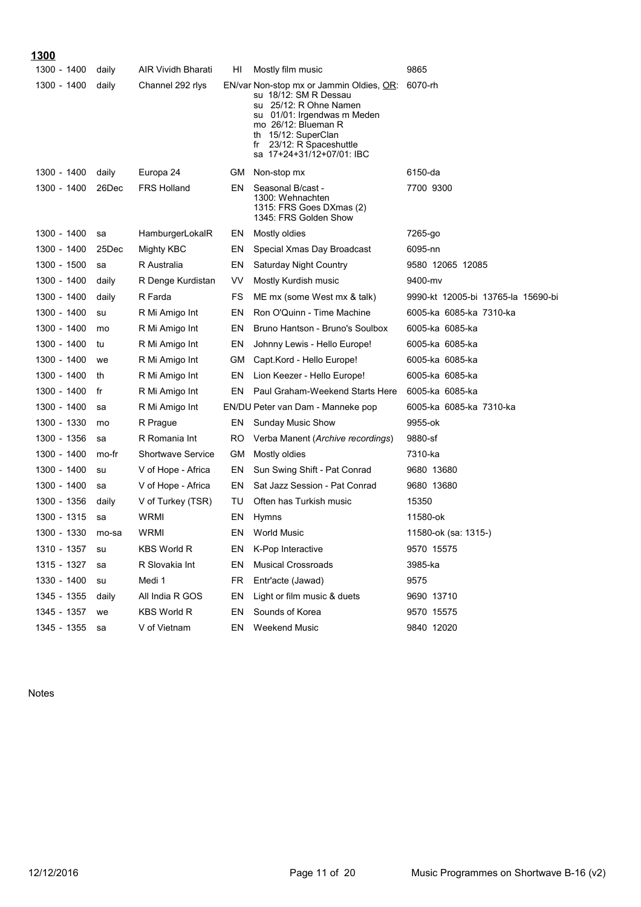# **------ ------ ------**

| <u></u><br>1300 - 1400 | daily | AIR Vividh Bharati | HI  | Mostly film music                                                                                                                                                                                                                         | 9865                               |
|------------------------|-------|--------------------|-----|-------------------------------------------------------------------------------------------------------------------------------------------------------------------------------------------------------------------------------------------|------------------------------------|
| 1300 - 1400            | daily | Channel 292 rlys   |     | EN/var Non-stop mx or Jammin Oldies, <u>OR</u> :<br>su 18/12: SM R Dessau<br>su 25/12: R Ohne Namen<br>su 01/01: Irgendwas m Meden<br>mo 26/12: Blueman R<br>th 15/12: SuperClan<br>fr 23/12: R Spaceshuttle<br>sa 17+24+31/12+07/01: IBC | 6070-rh                            |
| 1300 - 1400            | daily | Europa 24          | GM  | Non-stop mx                                                                                                                                                                                                                               | 6150-da                            |
| 1300 - 1400            | 26Dec | <b>FRS Holland</b> | EN  | Seasonal B/cast -<br>1300: Wehnachten<br>1315: FRS Goes DXmas (2)<br>1345: FRS Golden Show                                                                                                                                                | 7700 9300                          |
| 1300 - 1400            | sa    | HamburgerLokalR    | EN  | Mostly oldies                                                                                                                                                                                                                             | 7265-go                            |
| 1300 - 1400            | 25Dec | Mighty KBC         | EN  | Special Xmas Day Broadcast                                                                                                                                                                                                                | 6095-nn                            |
| 1300 - 1500            | sa    | R Australia        | EN  | <b>Saturday Night Country</b>                                                                                                                                                                                                             | 9580 12065 12085                   |
| 1300 - 1400            | daily | R Denge Kurdistan  | VV  | Mostly Kurdish music                                                                                                                                                                                                                      | 9400-mv                            |
| 1300 - 1400            | daily | R Farda            | FS  | ME mx (some West mx & talk)                                                                                                                                                                                                               | 9990-kt 12005-bi 13765-la 15690-bi |
| 1300 - 1400            | su    | R Mi Amigo Int     | EN  | Ron O'Quinn - Time Machine                                                                                                                                                                                                                | 6005-ka 6085-ka 7310-ka            |
| 1300 - 1400            | mo    | R Mi Amigo Int     | EN  | Bruno Hantson - Bruno's Soulbox                                                                                                                                                                                                           | 6005-ka 6085-ka                    |
| 1300 - 1400            | tu    | R Mi Amigo Int     | EN  | Johnny Lewis - Hello Europe!                                                                                                                                                                                                              | 6005-ka 6085-ka                    |
| 1300 - 1400            | we    | R Mi Amigo Int     | GМ  | Capt.Kord - Hello Europe!                                                                                                                                                                                                                 | 6005-ka 6085-ka                    |
| 1300 - 1400            | th    | R Mi Amigo Int     | EN  | Lion Keezer - Hello Europe!                                                                                                                                                                                                               | 6005-ka 6085-ka                    |
| 1300 - 1400            | fr    | R Mi Amigo Int     | EN  | Paul Graham-Weekend Starts Here                                                                                                                                                                                                           | 6005-ka 6085-ka                    |
| 1300 - 1400            | sa    | R Mi Amigo Int     |     | EN/DU Peter van Dam - Manneke pop                                                                                                                                                                                                         | 6005-ka 6085-ka 7310-ka            |
| 1300 - 1330            | mo    | R Prague           | EN  | <b>Sunday Music Show</b>                                                                                                                                                                                                                  | 9955-ok                            |
| 1300 - 1356            | sa    | R Romania Int      | RO  | Verba Manent (Archive recordings)                                                                                                                                                                                                         | 9880-sf                            |
| 1300 - 1400            | mo-fr | Shortwave Service  | GМ  | Mostly oldies                                                                                                                                                                                                                             | 7310-ka                            |
| 1300 - 1400            | su    | V of Hope - Africa | EN  | Sun Swing Shift - Pat Conrad                                                                                                                                                                                                              | 9680 13680                         |
| 1300 - 1400            | sa    | V of Hope - Africa | EN  | Sat Jazz Session - Pat Conrad                                                                                                                                                                                                             | 9680 13680                         |
| 1300 - 1356            | daily | V of Turkey (TSR)  | TU  | Often has Turkish music                                                                                                                                                                                                                   | 15350                              |
| 1300 - 1315            | sa    | WRMI               | EN  | Hymns                                                                                                                                                                                                                                     | 11580-ok                           |
| 1300 - 1330            | mo-sa | WRMI               | EN  | World Music                                                                                                                                                                                                                               | 11580-ok (sa: 1315-)               |
| 1310 - 1357            | su    | <b>KBS World R</b> | EN  | K-Pop Interactive                                                                                                                                                                                                                         | 9570 15575                         |
| 1315 - 1327            | sa    | R Slovakia Int     | EN  | <b>Musical Crossroads</b>                                                                                                                                                                                                                 | 3985-ka                            |
| 1330 - 1400            | su    | Medi 1             | FR. | Entr'acte (Jawad)                                                                                                                                                                                                                         | 9575                               |
| 1345 - 1355            | daily | All India R GOS    | EN  | Light or film music & duets                                                                                                                                                                                                               | 9690 13710                         |
| 1345 - 1357            | we    | <b>KBS World R</b> | EN  | Sounds of Korea                                                                                                                                                                                                                           | 9570 15575                         |
| 1345 - 1355            | sa    | V of Vietnam       | EN  | <b>Weekend Music</b>                                                                                                                                                                                                                      | 9840 12020                         |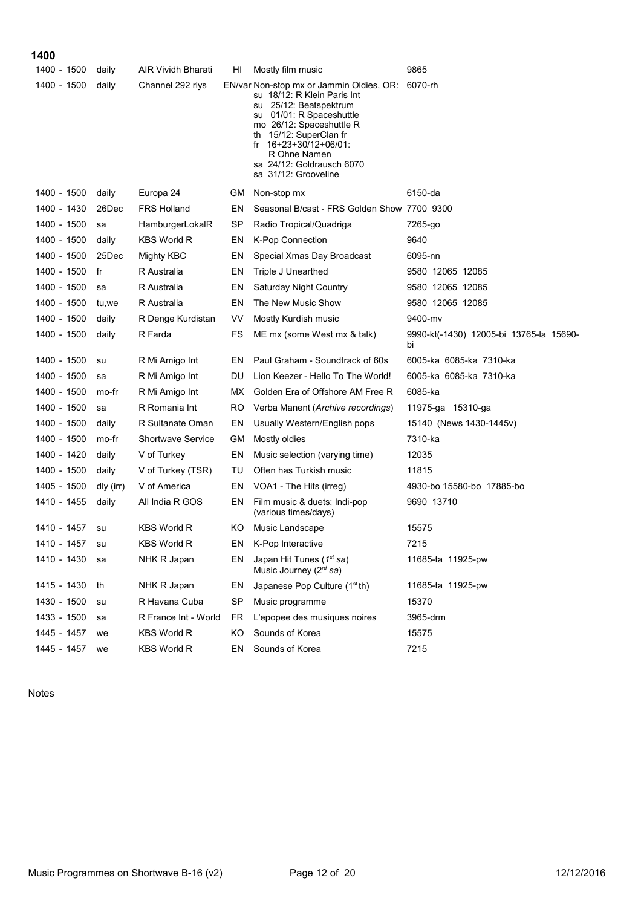| 1400        |           |                           |           |                                                                                                                                                                                                                                                                                      |                                               |
|-------------|-----------|---------------------------|-----------|--------------------------------------------------------------------------------------------------------------------------------------------------------------------------------------------------------------------------------------------------------------------------------------|-----------------------------------------------|
| 1400 - 1500 | daily     | <b>AIR Vividh Bharati</b> | HI        | Mostly film music                                                                                                                                                                                                                                                                    | 9865                                          |
| 1400 - 1500 | daily     | Channel 292 rlys          |           | EN/var Non-stop mx or Jammin Oldies, OR:<br>su 18/12: R Klein Paris Int<br>su 25/12: Beatspektrum<br>su 01/01: R Spaceshuttle<br>mo 26/12: Spaceshuttle R<br>th 15/12: SuperClan fr<br>fr $16+23+30/12+06/01$ :<br>R Ohne Namen<br>sa 24/12: Goldrausch 6070<br>sa 31/12: Grooveline | 6070-rh                                       |
| 1400 - 1500 | daily     | Europa 24                 | <b>GM</b> | Non-stop mx                                                                                                                                                                                                                                                                          | 6150-da                                       |
| 1400 - 1430 | 26Dec     | <b>FRS Holland</b>        | EN        | Seasonal B/cast - FRS Golden Show 7700 9300                                                                                                                                                                                                                                          |                                               |
| 1400 - 1500 | sa        | HamburgerLokalR           | SP        | Radio Tropical/Quadriga                                                                                                                                                                                                                                                              | 7265-go                                       |
| 1400 - 1500 | daily     | <b>KBS World R</b>        | EN        | <b>K-Pop Connection</b>                                                                                                                                                                                                                                                              | 9640                                          |
| 1400 - 1500 | 25Dec     | Mighty KBC                | EN        | Special Xmas Day Broadcast                                                                                                                                                                                                                                                           | 6095-nn                                       |
| 1400 - 1500 | fr        | R Australia               | EN        | Triple J Unearthed                                                                                                                                                                                                                                                                   | 9580 12065 12085                              |
| 1400 - 1500 | sa        | R Australia               | EN        | <b>Saturday Night Country</b>                                                                                                                                                                                                                                                        | 9580 12065 12085                              |
| 1400 - 1500 | tu,we     | R Australia               | EN        | The New Music Show                                                                                                                                                                                                                                                                   | 9580 12065 12085                              |
| 1400 - 1500 | daily     | R Denge Kurdistan         | VV        | Mostly Kurdish music                                                                                                                                                                                                                                                                 | 9400-mv                                       |
| 1400 - 1500 | daily     | R Farda                   | FS        | ME mx (some West mx & talk)                                                                                                                                                                                                                                                          | 9990-kt(-1430) 12005-bi 13765-la 15690-<br>bi |
| 1400 - 1500 | su        | R Mi Amigo Int            | EN        | Paul Graham - Soundtrack of 60s                                                                                                                                                                                                                                                      | 6005-ka 6085-ka 7310-ka                       |
| 1400 - 1500 | sa        | R Mi Amigo Int            | DU        | Lion Keezer - Hello To The World!                                                                                                                                                                                                                                                    | 6005-ka 6085-ka 7310-ka                       |
| 1400 - 1500 | mo-fr     | R Mi Amigo Int            | MX.       | Golden Era of Offshore AM Free R                                                                                                                                                                                                                                                     | 6085-ka                                       |
| 1400 - 1500 | sa        | R Romania Int             | RO.       | Verba Manent (Archive recordings)                                                                                                                                                                                                                                                    | 11975-ga 15310-ga                             |
| 1400 - 1500 | daily     | R Sultanate Oman          | EN        | Usually Western/English pops                                                                                                                                                                                                                                                         | 15140 (News 1430-1445v)                       |
| 1400 - 1500 | mo-fr     | <b>Shortwave Service</b>  | GМ        | Mostly oldies                                                                                                                                                                                                                                                                        | 7310-ka                                       |
| 1400 - 1420 | daily     | V of Turkey               | EN        | Music selection (varying time)                                                                                                                                                                                                                                                       | 12035                                         |
| 1400 - 1500 | daily     | V of Turkey (TSR)         | TU        | Often has Turkish music                                                                                                                                                                                                                                                              | 11815                                         |
| 1405 - 1500 | dly (irr) | V of America              | EN        | VOA1 - The Hits (irreg)                                                                                                                                                                                                                                                              | 4930-bo 15580-bo 17885-bo                     |
| 1410 - 1455 | daily     | All India R GOS           | EN        | Film music & duets; Indi-pop<br>(various times/days)                                                                                                                                                                                                                                 | 9690 13710                                    |
| 1410 - 1457 | su        | <b>KBS World R</b>        | ΚO        | Music Landscape                                                                                                                                                                                                                                                                      | 15575                                         |
| 1410 - 1457 | su        | <b>KBS World R</b>        | EN        | K-Pop Interactive                                                                                                                                                                                                                                                                    | 7215                                          |
| 1410 - 1430 | sa        | NHK R Japan               | EN        | Japan Hit Tunes (1st sa)<br>Music Journey (2rd sa)                                                                                                                                                                                                                                   | 11685-ta 11925-pw                             |
| 1415 - 1430 | th        | NHK R Japan               | EN        | Japanese Pop Culture (1 <sup>st</sup> th)                                                                                                                                                                                                                                            | 11685-ta 11925-pw                             |
| 1430 - 1500 | su        | R Havana Cuba             | SP        | Music programme                                                                                                                                                                                                                                                                      | 15370                                         |
| 1433 - 1500 | sa        | R France Int - World      | <b>FR</b> | L'epopee des musiques noires                                                                                                                                                                                                                                                         | 3965-drm                                      |
| 1445 - 1457 | we        | <b>KBS World R</b>        | KO        | Sounds of Korea                                                                                                                                                                                                                                                                      | 15575                                         |
| 1445 - 1457 | we        | <b>KBS World R</b>        | EN        | Sounds of Korea                                                                                                                                                                                                                                                                      | 7215                                          |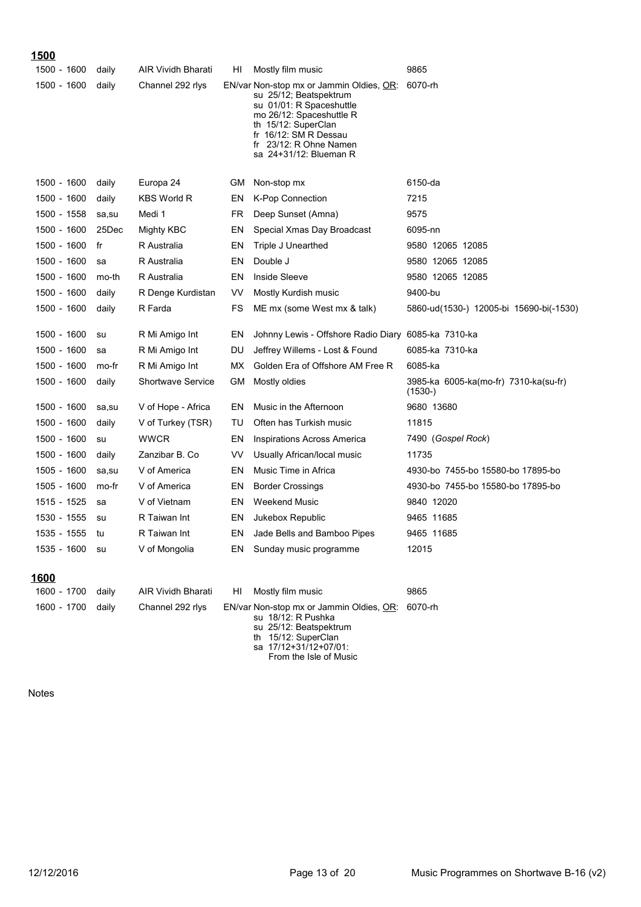| <u> 1500</u> |       |                           |    |                                                                                                                                                                                                                                        |                                                    |
|--------------|-------|---------------------------|----|----------------------------------------------------------------------------------------------------------------------------------------------------------------------------------------------------------------------------------------|----------------------------------------------------|
| 1500 - 1600  | daily | <b>AIR Vividh Bharati</b> | HI | Mostly film music                                                                                                                                                                                                                      | 9865                                               |
| 1500 - 1600  | daily | Channel 292 rlys          |    | EN/var Non-stop mx or Jammin Oldies, OR: 6070-rh<br>su 25/12; Beatspektrum<br>su 01/01: R Spaceshuttle<br>mo 26/12: Spaceshuttle R<br>th 15/12: SuperClan<br>fr 16/12: SM R Dessau<br>fr 23/12: R Ohne Namen<br>sa 24+31/12: Blueman R |                                                    |
| 1500 - 1600  | daily | Europa 24                 | GМ | Non-stop mx                                                                                                                                                                                                                            | 6150-da                                            |
| 1500 - 1600  | daily | <b>KBS World R</b>        | EN | <b>K-Pop Connection</b>                                                                                                                                                                                                                | 7215                                               |
| 1500 - 1558  | sa,su | Medi 1                    | FR | Deep Sunset (Amna)                                                                                                                                                                                                                     | 9575                                               |
| 1500 - 1600  | 25Dec | Mighty KBC                | EN | Special Xmas Day Broadcast                                                                                                                                                                                                             | 6095-nn                                            |
| 1500 - 1600  | fr    | R Australia               | EN | <b>Triple J Unearthed</b>                                                                                                                                                                                                              | 9580 12065 12085                                   |
| 1500 - 1600  | sa    | R Australia               | EN | Double J                                                                                                                                                                                                                               | 9580 12065 12085                                   |
| 1500 - 1600  | mo-th | R Australia               | EN | <b>Inside Sleeve</b>                                                                                                                                                                                                                   | 9580 12065 12085                                   |
| 1500 - 1600  | daily | R Denge Kurdistan         | VV | Mostly Kurdish music                                                                                                                                                                                                                   | 9400-bu                                            |
| 1500 - 1600  | daily | R Farda                   | FS | ME mx (some West mx & talk)                                                                                                                                                                                                            | 5860-ud(1530-) 12005-bi 15690-bi(-1530)            |
| 1500 - 1600  | su    | R Mi Amigo Int            | EN | Johnny Lewis - Offshore Radio Diary 6085-ka 7310-ka                                                                                                                                                                                    |                                                    |
| 1500 - 1600  | sa    | R Mi Amigo Int            | DU | Jeffrey Willems - Lost & Found                                                                                                                                                                                                         | 6085-ka 7310-ka                                    |
| 1500 - 1600  | mo-fr | R Mi Amigo Int            | МX | Golden Era of Offshore AM Free R                                                                                                                                                                                                       | 6085-ka                                            |
| 1500 - 1600  | daily | <b>Shortwave Service</b>  | GМ | Mostly oldies                                                                                                                                                                                                                          | 3985-ka 6005-ka(mo-fr) 7310-ka(su-fr)<br>$(1530-)$ |
| 1500 - 1600  | sa,su | V of Hope - Africa        | EN | Music in the Afternoon                                                                                                                                                                                                                 | 9680 13680                                         |
| 1500 - 1600  | daily | V of Turkey (TSR)         | TU | Often has Turkish music                                                                                                                                                                                                                | 11815                                              |
| 1500 - 1600  | su    | <b>WWCR</b>               | EN | Inspirations Across America                                                                                                                                                                                                            | 7490 (Gospel Rock)                                 |
| 1500 - 1600  | daily | Zanzibar B. Co            | VV | Usually African/local music                                                                                                                                                                                                            | 11735                                              |
| 1505 - 1600  | sa,su | V of America              | EN | Music Time in Africa                                                                                                                                                                                                                   | 4930-bo 7455-bo 15580-bo 17895-bo                  |
| 1505 - 1600  | mo-fr | V of America              | EN | <b>Border Crossings</b>                                                                                                                                                                                                                | 4930-bo 7455-bo 15580-bo 17895-bo                  |
| 1515 - 1525  | sa    | V of Vietnam              | EN | <b>Weekend Music</b>                                                                                                                                                                                                                   | 9840 12020                                         |
| 1530 - 1555  | su    | R Taiwan Int              | EN | Jukebox Republic                                                                                                                                                                                                                       | 9465 11685                                         |
| 1535 - 1555  | tu    | R Taiwan Int              | EN | Jade Bells and Bamboo Pipes                                                                                                                                                                                                            | 9465 11685                                         |
| 1535 - 1600  | su    | V of Mongolia             | EN | Sunday music programme                                                                                                                                                                                                                 | 12015                                              |
| 1600         |       |                           |    |                                                                                                                                                                                                                                        |                                                    |
| 1600 - 1700  | daily | AIR Vividh Bharati        | HI | Mostly film music                                                                                                                                                                                                                      | 9865                                               |

1600 - 1700 daily Channel 292 rlys EN/var Non-stop mx or Jammin Oldies, <u>OR</u>: 6070-rh su 18/12: R Pushka su 25/12: Beatspektrum th 15/12: SuperClan

sa 17/12+31/12+07/01: From the Isle of Music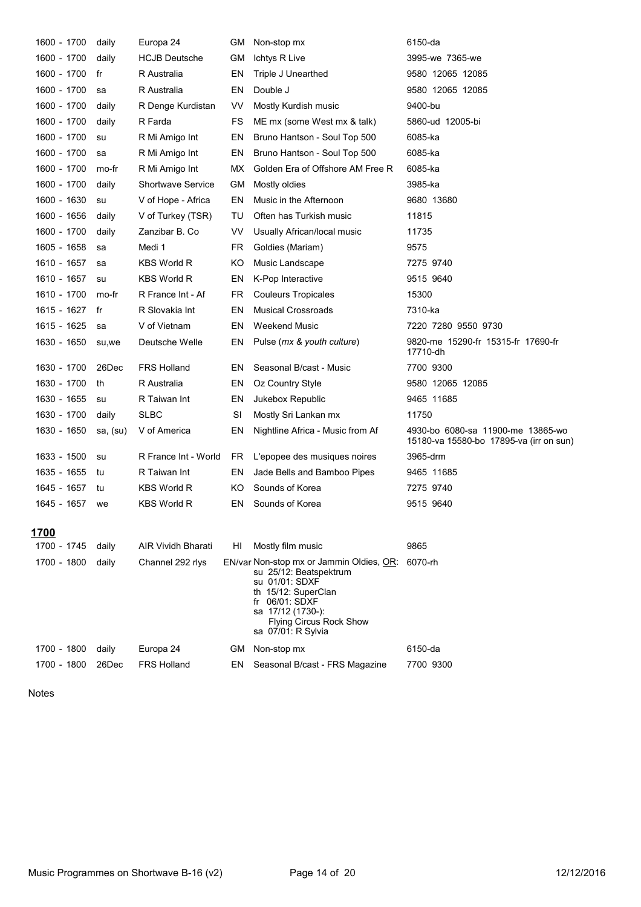| 1600 - 1700 | daily    | Europa 24                | GМ        | Non-stop mx                                                                                                                                                                                                | 6150-da                                                                      |
|-------------|----------|--------------------------|-----------|------------------------------------------------------------------------------------------------------------------------------------------------------------------------------------------------------------|------------------------------------------------------------------------------|
| 1600 - 1700 | daily    | <b>HCJB Deutsche</b>     | GМ        | Ichtys R Live                                                                                                                                                                                              | 3995-we 7365-we                                                              |
| 1600 - 1700 | fr       | R Australia              | EN        | Triple J Unearthed                                                                                                                                                                                         | 9580 12065 12085                                                             |
| 1600 - 1700 | sa       | R Australia              | EN        | Double J                                                                                                                                                                                                   | 9580 12065 12085                                                             |
| 1600 - 1700 | daily    | R Denge Kurdistan        | VV        | Mostly Kurdish music                                                                                                                                                                                       | 9400-bu                                                                      |
| 1600 - 1700 | daily    | R Farda                  | FS        | ME mx (some West mx & talk)                                                                                                                                                                                | 5860-ud 12005-bi                                                             |
| 1600 - 1700 | su       | R Mi Amigo Int           | EN        | Bruno Hantson - Soul Top 500                                                                                                                                                                               | 6085-ka                                                                      |
| 1600 - 1700 | sa       | R Mi Amigo Int           | ΕN        | Bruno Hantson - Soul Top 500                                                                                                                                                                               | 6085-ka                                                                      |
| 1600 - 1700 | mo-fr    | R Mi Amigo Int           | МX        | Golden Era of Offshore AM Free R                                                                                                                                                                           | 6085-ka                                                                      |
| 1600 - 1700 | daily    | <b>Shortwave Service</b> | GМ        | Mostly oldies                                                                                                                                                                                              | 3985-ka                                                                      |
| 1600 - 1630 | su       | V of Hope - Africa       | EN        | Music in the Afternoon                                                                                                                                                                                     | 9680 13680                                                                   |
| 1600 - 1656 | daily    | V of Turkey (TSR)        | TU        | Often has Turkish music                                                                                                                                                                                    | 11815                                                                        |
| 1600 - 1700 | daily    | Zanzibar B. Co           | VV        | Usually African/local music                                                                                                                                                                                | 11735                                                                        |
| 1605 - 1658 | sa       | Medi 1                   | FR        | Goldies (Mariam)                                                                                                                                                                                           | 9575                                                                         |
| 1610 - 1657 | sa       | KBS World R              | ΚO        | Music Landscape                                                                                                                                                                                            | 7275 9740                                                                    |
| 1610 - 1657 | su       | KBS World R              | EN        | K-Pop Interactive                                                                                                                                                                                          | 9515 9640                                                                    |
| 1610 - 1700 | mo-fr    | R France Int - Af        | FR        | <b>Couleurs Tropicales</b>                                                                                                                                                                                 | 15300                                                                        |
| 1615 - 1627 | fr       | R Slovakia Int           | EN        | <b>Musical Crossroads</b>                                                                                                                                                                                  | 7310-ka                                                                      |
| 1615 - 1625 | sa       | V of Vietnam             | EN        | <b>Weekend Music</b>                                                                                                                                                                                       | 7220 7280 9550 9730                                                          |
| 1630 - 1650 | su,we    | Deutsche Welle           | ΕN        | Pulse (mx & youth culture)                                                                                                                                                                                 | 9820-me 15290-fr 15315-fr 17690-fr<br>17710-dh                               |
| 1630 - 1700 | 26Dec    | <b>FRS Holland</b>       | EN        | Seasonal B/cast - Music                                                                                                                                                                                    | 7700 9300                                                                    |
| 1630 - 1700 | th       | R Australia              | EN        | Oz Country Style                                                                                                                                                                                           | 9580 12065 12085                                                             |
| 1630 - 1655 | su       | R Taiwan Int             | EN        | Jukebox Republic                                                                                                                                                                                           | 9465 11685                                                                   |
| 1630 - 1700 | daily    | <b>SLBC</b>              | SI        | Mostly Sri Lankan mx                                                                                                                                                                                       | 11750                                                                        |
| 1630 - 1650 | sa, (su) | V of America             | ΕN        | Nightline Africa - Music from Af                                                                                                                                                                           | 4930-bo 6080-sa 11900-me 13865-wo<br>15180-va 15580-bo 17895-va (irr on sun) |
| 1633 - 1500 | su       | R France Int - World     | FR.       | L'epopee des musiques noires                                                                                                                                                                               | 3965-drm                                                                     |
| 1635 - 1655 | tu       | R Taiwan Int             | ΕN        | Jade Bells and Bamboo Pipes                                                                                                                                                                                | 9465 11685                                                                   |
| 1645 - 1657 | tu       | <b>KBS World R</b>       | KO        | Sounds of Korea                                                                                                                                                                                            | 7275 9740                                                                    |
| 1645 - 1657 | we       | <b>KBS World R</b>       | EN        | Sounds of Korea                                                                                                                                                                                            | 9515 9640                                                                    |
| 1700        |          |                          |           |                                                                                                                                                                                                            |                                                                              |
| 1700 - 1745 | daily    | AIR Vividh Bharati       | HI        | Mostly film music                                                                                                                                                                                          | 9865                                                                         |
| 1700 - 1800 | daily    | Channel 292 rlys         |           | EN/var Non-stop mx or Jammin Oldies, OR:<br>su 25/12: Beatspektrum<br>su 01/01: SDXF<br>th 15/12: SuperClan<br>fr 06/01: SDXF<br>sa 17/12 (1730-):<br><b>Flying Circus Rock Show</b><br>sa 07/01: R Sylvia | 6070-rh                                                                      |
| 1700 - 1800 | daily    | Europa 24                | <b>GM</b> | Non-stop mx                                                                                                                                                                                                | 6150-da                                                                      |
| 1700 - 1800 | 26Dec    | <b>FRS Holland</b>       | EN        | Seasonal B/cast - FRS Magazine                                                                                                                                                                             | 7700 9300                                                                    |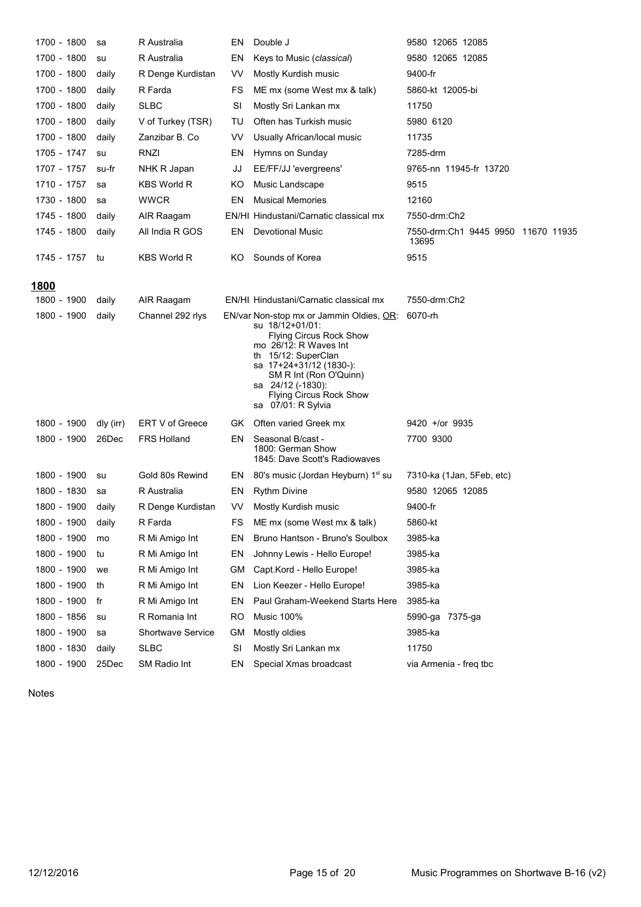| 1700 - 1800  | sa        | R Australia              | EN  | Double J                                                                                                                                                                                                                                                                        | 9580 12065 12085                            |
|--------------|-----------|--------------------------|-----|---------------------------------------------------------------------------------------------------------------------------------------------------------------------------------------------------------------------------------------------------------------------------------|---------------------------------------------|
| 1700 - 1800  | su        | R Australia              | EN  | Keys to Music (classical)                                                                                                                                                                                                                                                       | 9580 12065 12085                            |
| 1700 - 1800  | daily     | R Denge Kurdistan        | VV. | Mostly Kurdish music                                                                                                                                                                                                                                                            | 9400-fr                                     |
| 1700 - 1800  | daily     | R Farda                  | FS  | ME mx (some West mx & talk)                                                                                                                                                                                                                                                     | 5860-kt 12005-bi                            |
| 1700 - 1800  | daily     | <b>SLBC</b>              | SI  | Mostly Sri Lankan mx                                                                                                                                                                                                                                                            | 11750                                       |
| 1700 - 1800  | daily     | V of Turkey (TSR)        | TU  | Often has Turkish music                                                                                                                                                                                                                                                         | 5980 6120                                   |
| 1700 - 1800  | daily     | Zanzibar B. Co           | VV  | Usually African/local music                                                                                                                                                                                                                                                     | 11735                                       |
| 1705 - 1747  | su        | RNZI                     | EN  | Hymns on Sunday                                                                                                                                                                                                                                                                 | 7285-drm                                    |
| 1707 - 1757  | su-fr     | NHK R Japan              | JJ  | EE/FF/JJ 'evergreens'                                                                                                                                                                                                                                                           | 9765-nn 11945-fr 13720                      |
| 1710 - 1757  | sa        | <b>KBS World R</b>       | ΚO  | Music Landscape                                                                                                                                                                                                                                                                 | 9515                                        |
| 1730 - 1800  | sa        | <b>WWCR</b>              | ΕN  | <b>Musical Memories</b>                                                                                                                                                                                                                                                         | 12160                                       |
| 1745 - 1800  | daily     | AIR Raagam               |     | EN/HI Hindustani/Carnatic classical mx                                                                                                                                                                                                                                          | 7550-drm:Ch2                                |
| 1745 - 1800  | daily     | All India R GOS          | EN  | <b>Devotional Music</b>                                                                                                                                                                                                                                                         | 7550-drm:Ch1 9445 9950 11670 11935<br>13695 |
| 1745 - 1757  | tu        | <b>KBS World R</b>       | ΚO  | Sounds of Korea                                                                                                                                                                                                                                                                 | 9515                                        |
| <u> 1800</u> |           |                          |     |                                                                                                                                                                                                                                                                                 |                                             |
| 1800 - 1900  | daily     | AIR Raagam               |     | EN/HI Hindustani/Carnatic classical mx                                                                                                                                                                                                                                          | 7550-drm:Ch2                                |
| 1800 - 1900  | daily     | Channel 292 rlys         |     | EN/var Non-stop mx or Jammin Oldies, OR:<br>su 18/12+01/01:<br><b>Flying Circus Rock Show</b><br>mo 26/12: R Waves Int<br>th 15/12: SuperClan<br>sa 17+24+31/12 (1830-):<br>SM R Int (Ron O'Quinn)<br>sa 24/12 (-1830):<br><b>Flying Circus Rock Show</b><br>sa 07/01: R Sylvia | 6070-rh                                     |
| 1800 - 1900  | dly (irr) | ERT V of Greece          | GK. | Often varied Greek mx                                                                                                                                                                                                                                                           | $9420 +$ or 9935                            |
| 1800 - 1900  | 26Dec     | <b>FRS Holland</b>       | ΕN  | Seasonal B/cast -<br>1800: German Show<br>1845: Dave Scott's Radiowaves                                                                                                                                                                                                         | 7700 9300                                   |
| 1800 - 1900  | su        | Gold 80s Rewind          | EN  | 80's music (Jordan Heyburn) 1 <sup>st</sup> su                                                                                                                                                                                                                                  | 7310-ka (1Jan, 5Feb, etc)                   |
| 1800 - 1830  | sa        | R Australia              | EN  | <b>Rythm Divine</b>                                                                                                                                                                                                                                                             | 9580 12065 12085                            |
| 1800 - 1900  | daily     | R Denge Kurdistan        | VV. | Mostly Kurdish music                                                                                                                                                                                                                                                            | 9400-fr                                     |
| 1800 - 1900  | daily     | R Farda                  | FS  | ME mx (some West mx & talk)                                                                                                                                                                                                                                                     | 5860-kt                                     |
| 1800 - 1900  | mo        | R Mi Amigo Int           | EN  | Bruno Hantson - Bruno's Soulbox                                                                                                                                                                                                                                                 | 3985-ka                                     |
| 1800 - 1900  | tu        | R Mi Amigo Int           | EN  | Johnny Lewis - Hello Europe!                                                                                                                                                                                                                                                    | 3985-ka                                     |
| 1800 - 1900  | we        | R Mi Amigo Int           | GM  | Capt.Kord - Hello Europe!                                                                                                                                                                                                                                                       | 3985-ka                                     |
| 1800 - 1900  | th        | R Mi Amigo Int           | EN  | Lion Keezer - Hello Europe!                                                                                                                                                                                                                                                     | 3985-ka                                     |
| 1800 - 1900  | fr        | R Mi Amigo Int           | EN  | Paul Graham-Weekend Starts Here                                                                                                                                                                                                                                                 | 3985-ka                                     |
| 1800 - 1856  | su        | R Romania Int            | RO  | <b>Music 100%</b>                                                                                                                                                                                                                                                               | 5990-ga 7375-ga                             |
| 1800 - 1900  | sa        | <b>Shortwave Service</b> | GМ  | Mostly oldies                                                                                                                                                                                                                                                                   | 3985-ka                                     |
| 1800 - 1830  | daily     | <b>SLBC</b>              | SI  | Mostly Sri Lankan mx                                                                                                                                                                                                                                                            | 11750                                       |
| 1800 - 1900  | 25Dec     | SM Radio Int             | EN  | Special Xmas broadcast                                                                                                                                                                                                                                                          | via Armenia - freq tbc                      |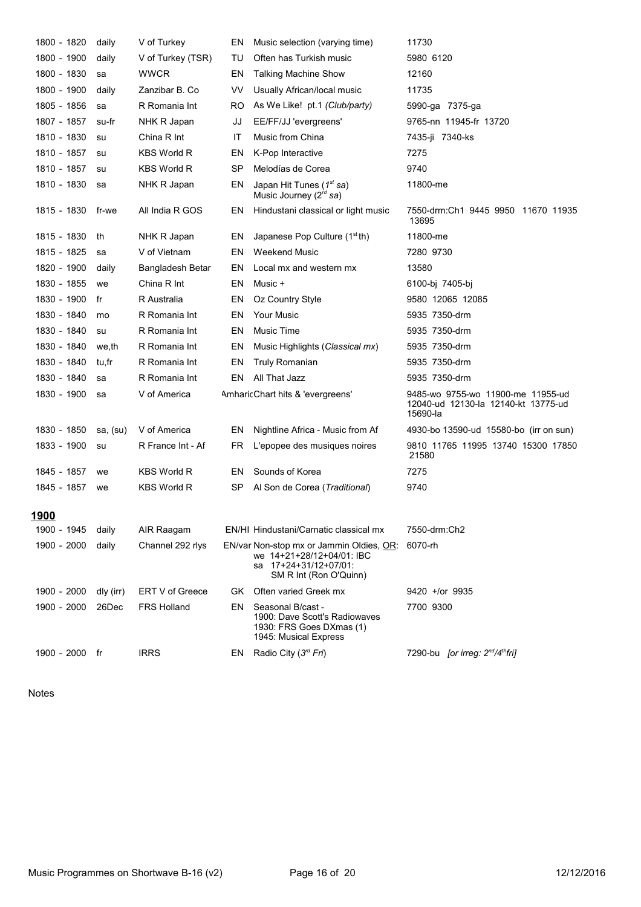| 1800 - 1820    | daily     | V of Turkey        | EN        | Music selection (varying time)                                                                                           | 11730                                                                                |
|----------------|-----------|--------------------|-----------|--------------------------------------------------------------------------------------------------------------------------|--------------------------------------------------------------------------------------|
| 1800 - 1900    | daily     | V of Turkey (TSR)  | TU        | Often has Turkish music                                                                                                  | 5980 6120                                                                            |
| 1800 - 1830    | sa        | <b>WWCR</b>        | EN        | <b>Talking Machine Show</b>                                                                                              | 12160                                                                                |
| 1800 - 1900    | daily     | Zanzibar B. Co     | VV        | Usually African/local music                                                                                              | 11735                                                                                |
| 1805 - 1856    | sa        | R Romania Int      | RO        | As We Like! pt.1 (Club/party)                                                                                            | 5990-ga 7375-ga                                                                      |
| 1807 - 1857    | su-fr     | NHK R Japan        | JJ        | EE/FF/JJ 'evergreens'                                                                                                    | 9765-nn 11945-fr 13720                                                               |
| 1810 - 1830    | su        | China R Int        | IT        | Music from China                                                                                                         | 7435-ji 7340-ks                                                                      |
| 1810 - 1857    | su        | <b>KBS World R</b> | EN        | K-Pop Interactive                                                                                                        | 7275                                                                                 |
| 1810 - 1857    | su        | <b>KBS World R</b> | <b>SP</b> | Melodías de Corea                                                                                                        | 9740                                                                                 |
| 1810 - 1830    | sa        | NHK R Japan        | EN        | Japan Hit Tunes $(1st sa)$<br>Music Journey ( $2^{rd}$ sa)                                                               | 11800-me                                                                             |
| 1815 - 1830    | fr-we     | All India R GOS    | EN        | Hindustani classical or light music                                                                                      | 7550-drm:Ch1 9445 9950 11670 11935<br>13695                                          |
| 1815 - 1830    | th        | NHK R Japan        | EN        | Japanese Pop Culture $(1stth)$                                                                                           | 11800-me                                                                             |
| 1815 - 1825    | sa        | V of Vietnam       | EN        | <b>Weekend Music</b>                                                                                                     | 7280 9730                                                                            |
| 1820 - 1900    | daily     | Bangladesh Betar   | EN        | Local mx and western mx                                                                                                  | 13580                                                                                |
| 1830 - 1855    | we        | China R Int        | EN        | Music +                                                                                                                  | 6100-bj 7405-bj                                                                      |
| 1830 - 1900    | fr        | R Australia        | EN        | Oz Country Style                                                                                                         | 9580 12065 12085                                                                     |
| 1830 - 1840    | mo        | R Romania Int      | EN        | <b>Your Music</b>                                                                                                        | 5935 7350-drm                                                                        |
| 1830 - 1840    | su        | R Romania Int      | EN        | Music Time                                                                                                               | 5935 7350-drm                                                                        |
| 1830 - 1840    | we,th     | R Romania Int      | EN        | Music Highlights (Classical mx)                                                                                          | 5935 7350-drm                                                                        |
| 1830 - 1840    | tu,fr     | R Romania Int      | EN        | <b>Truly Romanian</b>                                                                                                    | 5935 7350-drm                                                                        |
| 1830 - 1840    | sa        | R Romania Int      | ΕN        | All That Jazz                                                                                                            | 5935 7350-drm                                                                        |
| 1830 - 1900    | sa        | V of America       |           | AmharicChart hits & 'evergreens'                                                                                         | 9485-wo 9755-wo 11900-me 11955-ud<br>12040-ud 12130-la 12140-kt 13775-ud<br>15690-la |
| 1830 - 1850    | sa, (su)  | V of America       | EN        | Nightline Africa - Music from Af                                                                                         | 4930-bo 13590-ud 15580-bo (irr on sun)                                               |
| 1833 - 1900    | su        | R France Int - Af  | FR        | L'epopee des musiques noires                                                                                             | 9810 11765 11995 13740 15300 17850<br>21580                                          |
| 1845 - 1857    | we        | <b>KBS World R</b> | EN        | Sounds of Korea                                                                                                          | 7275                                                                                 |
| 1845 - 1857    | we        | <b>KBS World R</b> | SP        | Al Son de Corea (Traditional)                                                                                            | 9740                                                                                 |
| 1900           |           |                    |           |                                                                                                                          |                                                                                      |
| 1900 - 1945    | daily     | AIR Raagam         |           | EN/HI Hindustani/Carnatic classical mx                                                                                   | 7550-drm:Ch2                                                                         |
| 1900 - 2000    | daily     | Channel 292 rlys   |           | EN/var Non-stop mx or Jammin Oldies, OR:<br>we 14+21+28/12+04/01: IBC<br>sa 17+24+31/12+07/01:<br>SM R Int (Ron O'Quinn) | 6070-rh                                                                              |
| 1900 - 2000    | dly (irr) | ERT V of Greece    | GK.       | Often varied Greek mx                                                                                                    | 9420 +/or 9935                                                                       |
| 1900 - 2000    | 26Dec     | <b>FRS Holland</b> | ΕN        | Seasonal B/cast -<br>1900: Dave Scott's Radiowaves<br>1930: FRS Goes DXmas (1)<br>1945: Musical Express                  | 7700 9300                                                                            |
| 1900 - 2000 fr |           | <b>IRRS</b>        | EN        | Radio City $(3rd Fri)$                                                                                                   | 7290-bu [or irreg: 2 <sup>nd</sup> /4 <sup>th</sup> fri]                             |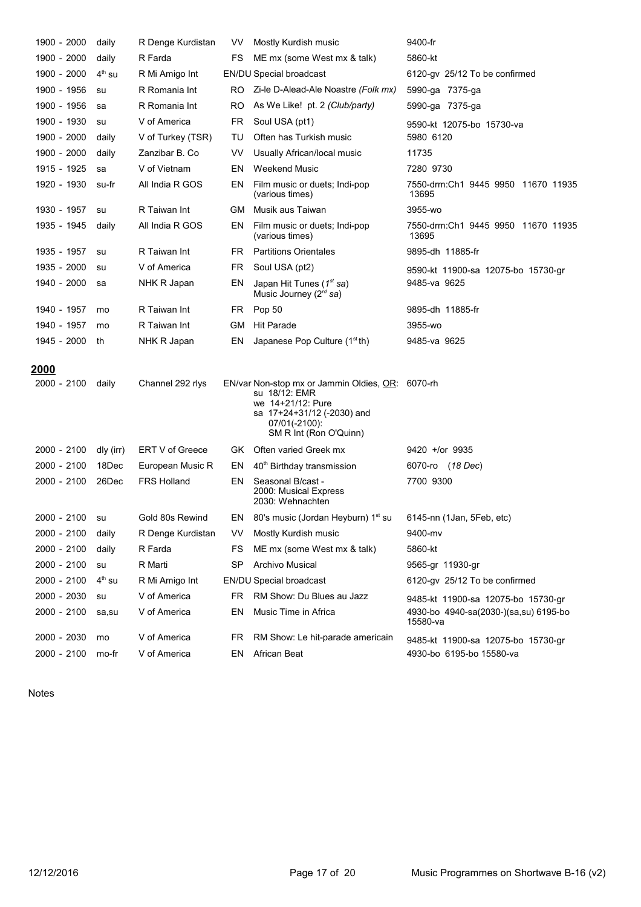| 1900 - 2000                 | daily     | R Denge Kurdistan  | VV.       | Mostly Kurdish music                                                                                                                                            | 9400-fr                                           |
|-----------------------------|-----------|--------------------|-----------|-----------------------------------------------------------------------------------------------------------------------------------------------------------------|---------------------------------------------------|
| 1900 - 2000                 | daily     | R Farda            | FS        | ME mx (some West mx & talk)                                                                                                                                     | 5860-kt                                           |
| 1900 - 2000                 | $4th$ su  | R Mi Amigo Int     |           | <b>EN/DU Special broadcast</b>                                                                                                                                  | 6120-gy 25/12 To be confirmed                     |
| 1900 - 1956                 | su        | R Romania Int      | RO.       | Zi-le D-Alead-Ale Noastre (Folk mx)                                                                                                                             | 5990-ga 7375-ga                                   |
| 1900 - 1956                 | sa        | R Romania Int      | RO        | As We Like! pt. 2 (Club/party)                                                                                                                                  | 5990-ga 7375-ga                                   |
| 1900 - 1930                 | su        | V of America       | FR        | Soul USA (pt1)                                                                                                                                                  | 9590-kt 12075-bo 15730-va                         |
| 1900 - 2000                 | daily     | V of Turkey (TSR)  | TU        | Often has Turkish music                                                                                                                                         | 5980 6120                                         |
| 1900 - 2000                 | daily     | Zanzibar B. Co     | VV        | Usually African/local music                                                                                                                                     | 11735                                             |
| 1915 - 1925                 | sa        | V of Vietnam       | EN        | <b>Weekend Music</b>                                                                                                                                            | 7280 9730                                         |
| 1920 - 1930                 | su-fr     | All India R GOS    | EN        | Film music or duets; Indi-pop<br>(various times)                                                                                                                | 7550-drm:Ch1 9445 9950 11670 11935<br>13695       |
| 1930 - 1957                 | su        | R Taiwan Int       | GМ        | Musik aus Taiwan                                                                                                                                                | 3955-wo                                           |
| 1935 - 1945                 | daily     | All India R GOS    | EN        | Film music or duets; Indi-pop<br>(various times)                                                                                                                | 7550-drm:Ch1 9445 9950 11670 11935<br>13695       |
| 1935 - 1957                 | su        | R Taiwan Int       | FR.       | <b>Partitions Orientales</b>                                                                                                                                    | 9895-dh 11885-fr                                  |
| 1935 - 2000                 | su        | V of America       | FR        | Soul USA (pt2)                                                                                                                                                  | 9590-kt 11900-sa 12075-bo 15730-gr                |
| 1940 - 2000                 | sa        | NHK R Japan        | EN        | Japan Hit Tunes $(1st sa)$<br>Music Journey ( $2^{rd}$ sa)                                                                                                      | 9485-ya 9625                                      |
| 1940 - 1957                 | mo        | R Taiwan Int       | FR        | Pop 50                                                                                                                                                          | 9895-dh 11885-fr                                  |
| 1940 - 1957                 | mo        | R Taiwan Int       | GM        | <b>Hit Parade</b>                                                                                                                                               | 3955-wo                                           |
| 1945 - 2000                 | th        | NHK R Japan        | EN        | Japanese Pop Culture $(1stth)$                                                                                                                                  | 9485-va 9625                                      |
|                             |           |                    |           |                                                                                                                                                                 |                                                   |
| <u> 2000</u><br>2000 - 2100 | daily     | Channel 292 rlys   |           | EN/var Non-stop mx or Jammin Oldies, OR: 6070-rh<br>su 18/12: EMR<br>we 14+21/12: Pure<br>sa 17+24+31/12 (-2030) and<br>07/01(-2100):<br>SM R Int (Ron O'Quinn) |                                                   |
| 2000 - 2100                 | dly (irr) | ERT V of Greece    | GK        | Often varied Greek mx                                                                                                                                           | $9420 +$ /or $9935$                               |
| 2000 - 2100                 | 18Dec     | European Music R   | EN        | 40 <sup>th</sup> Birthday transmission                                                                                                                          | 6070-ro (18 Dec)                                  |
| 2000 - 2100                 | 26Dec     | <b>FRS Holland</b> | EN        | Seasonal B/cast -<br>2000: Musical Express<br>2030: Wehnachten                                                                                                  | 7700 9300                                         |
| 2000 - 2100                 | su        | Gold 80s Rewind    |           | EN 80's music (Jordan Heyburn) 1 <sup>st</sup> su 6145-nn (1Jan, 5Feb, etc)                                                                                     |                                                   |
| 2000 - 2100                 | daily     | R Denge Kurdistan  | VV.       | Mostly Kurdish music                                                                                                                                            | 9400-mv                                           |
| 2000 - 2100                 | daily     | R Farda            | FS        | ME mx (some West mx & talk)                                                                                                                                     | 5860-kt                                           |
| 2000 - 2100                 | su        | R Marti            | <b>SP</b> | <b>Archivo Musical</b>                                                                                                                                          | 9565-gr 11930-gr                                  |
| 2000 - 2100                 | $4th$ su  | R Mi Amigo Int     |           | <b>EN/DU Special broadcast</b>                                                                                                                                  | 6120-gv 25/12 To be confirmed                     |
| 2000 - 2030                 |           |                    |           |                                                                                                                                                                 |                                                   |
|                             | su        | V of America       | FR.       | RM Show: Du Blues au Jazz                                                                                                                                       | 9485-kt 11900-sa 12075-bo 15730-gr                |
| 2000 - 2100                 | sa,su     | V of America       | EN        | Music Time in Africa                                                                                                                                            | 4930-bo 4940-sa(2030-)(sa,su) 6195-bo<br>15580-va |
| 2000 - 2030                 | mo        | V of America       | FR        | RM Show: Le hit-parade americain                                                                                                                                | 9485-kt 11900-sa 12075-bo 15730-gr                |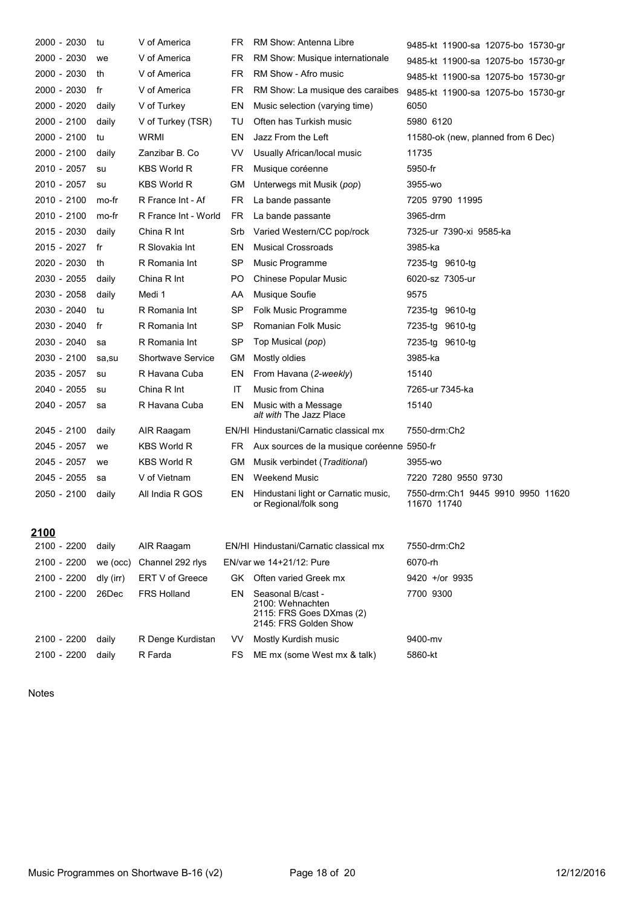| 2000 - 2030 | tu        | V of America             | FR        | RM Show: Antenna Libre                                                                     | 9485-kt 11900-sa 12075-bo 15730-gr               |
|-------------|-----------|--------------------------|-----------|--------------------------------------------------------------------------------------------|--------------------------------------------------|
| 2000 - 2030 | we        | V of America             | FR        | RM Show: Musique internationale                                                            | 9485-kt 11900-sa 12075-bo 15730-gr               |
| 2000 - 2030 | th        | V of America             | FR        | RM Show - Afro music                                                                       | 9485-kt 11900-sa 12075-bo 15730-gr               |
| 2000 - 2030 | fr        | V of America             | FR        | RM Show: La musique des caraibes                                                           | 9485-kt 11900-sa 12075-bo 15730-gr               |
| 2000 - 2020 | daily     | V of Turkey              | EN        | Music selection (varying time)                                                             | 6050                                             |
| 2000 - 2100 | daily     | V of Turkey (TSR)        | TU        | Often has Turkish music                                                                    | 5980 6120                                        |
| 2000 - 2100 | tu        | <b>WRMI</b>              | EN        | Jazz From the Left                                                                         | 11580-ok (new, planned from 6 Dec)               |
| 2000 - 2100 | daily     | Zanzibar B. Co           | VV        | Usually African/local music                                                                | 11735                                            |
| 2010 - 2057 | su        | <b>KBS World R</b>       | FR        | Musique coréenne                                                                           | 5950-fr                                          |
| 2010 - 2057 | su        | <b>KBS World R</b>       | GМ        | Unterwegs mit Musik ( <i>pop</i> )                                                         | 3955-wo                                          |
| 2010 - 2100 | mo-fr     | R France Int - Af        | <b>FR</b> | La bande passante                                                                          | 7205 9790 11995                                  |
| 2010 - 2100 | mo-fr     | R France Int - World     | FR        | La bande passante                                                                          | 3965-drm                                         |
| 2015 - 2030 | daily     | China R Int              | Srb       | Varied Western/CC pop/rock                                                                 | 7325-ur 7390-xi 9585-ka                          |
| 2015 - 2027 | fr        | R Slovakia Int           | EN        | <b>Musical Crossroads</b>                                                                  | 3985-ka                                          |
| 2020 - 2030 | th        | R Romania Int            | <b>SP</b> | Music Programme                                                                            | 7235-tg 9610-tg                                  |
| 2030 - 2055 | daily     | China R Int              | PO        | <b>Chinese Popular Music</b>                                                               | 6020-sz 7305-ur                                  |
| 2030 - 2058 | daily     | Medi 1                   | AA        | Musique Soufie                                                                             | 9575                                             |
| 2030 - 2040 | tu        | R Romania Int            | <b>SP</b> | Folk Music Programme                                                                       | 7235-tg 9610-tg                                  |
| 2030 - 2040 | fr        | R Romania Int            | <b>SP</b> | Romanian Folk Music                                                                        | 7235-tg 9610-tg                                  |
| 2030 - 2040 | sa        | R Romania Int            | <b>SP</b> | Top Musical (pop)                                                                          | 7235-tg 9610-tg                                  |
| 2030 - 2100 | sa,su     | <b>Shortwave Service</b> | GМ        | Mostly oldies                                                                              | 3985-ka                                          |
| 2035 - 2057 | su        | R Havana Cuba            | EN        | From Havana (2-weekly)                                                                     | 15140                                            |
| 2040 - 2055 | su        | China R Int              | IT        | Music from China                                                                           | 7265-ur 7345-ka                                  |
| 2040 - 2057 | sa        | R Havana Cuba            | EN        | Music with a Message<br>alt with The Jazz Place                                            | 15140                                            |
| 2045 - 2100 | daily     | AIR Raagam               |           | EN/HI Hindustani/Carnatic classical mx                                                     | 7550-drm:Ch2                                     |
| 2045 - 2057 | we        | <b>KBS World R</b>       | FR        | Aux sources de la musique coréenne 5950-fr                                                 |                                                  |
| 2045 - 2057 | we        | KBS World R              | GМ        | Musik verbindet (Traditional)                                                              | 3955-wo                                          |
| 2045 - 2055 | sa        | V of Vietnam             | EN        | <b>Weekend Music</b>                                                                       | 7220 7280 9550 9730                              |
| 2050 - 2100 | daily     | All India R GOS          | EN        | Hindustani light or Carnatic music,<br>or Regional/folk song                               | 7550-drm:Ch1 9445 9910 9950 11620<br>11670 11740 |
| 2100        |           |                          |           |                                                                                            |                                                  |
| 2100 - 2200 | daily     | AIR Raagam               |           | EN/HI Hindustani/Carnatic classical mx                                                     | 7550-drm:Ch2                                     |
| 2100 - 2200 | we (occ)  | Channel 292 rlys         |           | EN/var we 14+21/12: Pure                                                                   | 6070-rh                                          |
| 2100 - 2200 | dly (irr) | ERT V of Greece          |           | GK Often varied Greek mx                                                                   | 9420 +/or 9935                                   |
| 2100 - 2200 | 26Dec     | <b>FRS Holland</b>       | EN        | Seasonal B/cast -<br>2100: Wehnachten<br>2115: FRS Goes DXmas (2)<br>2145: FRS Golden Show | 7700 9300                                        |
| 2100 - 2200 | daily     | R Denge Kurdistan        | VV        | Mostly Kurdish music                                                                       | 9400-mv                                          |
| 2100 - 2200 | daily     | R Farda                  | <b>FS</b> | ME mx (some West mx & talk)                                                                | 5860-kt                                          |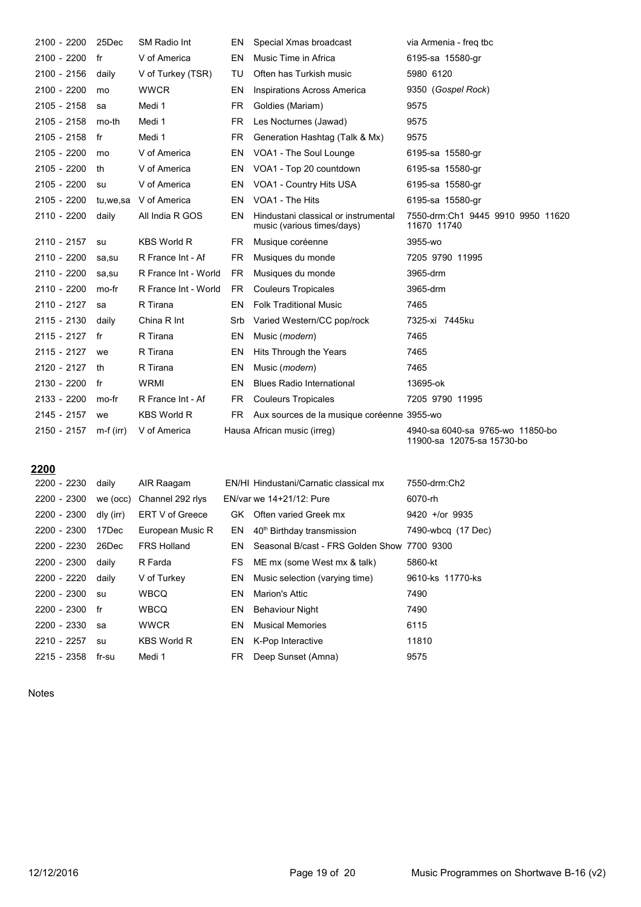| 2100 - 2200   | 25Dec       | SM Radio Int         | EN        | Special Xmas broadcast                                             | via Armenia - freg tbc                                         |
|---------------|-------------|----------------------|-----------|--------------------------------------------------------------------|----------------------------------------------------------------|
| 2100 - 2200   | fr          | V of America         | EN        | Music Time in Africa                                               | 6195-sa 15580-gr                                               |
| 2100 - 2156   | daily       | V of Turkey (TSR)    | TU        | Often has Turkish music                                            | 5980 6120                                                      |
| 2100 - 2200   | mo          | <b>WWCR</b>          | EN        | <b>Inspirations Across America</b>                                 | 9350 (Gospel Rock)                                             |
| 2105 - 2158   | sa          | Medi 1               | FR.       | Goldies (Mariam)                                                   | 9575                                                           |
| 2105 - 2158   | mo-th       | Medi 1               | <b>FR</b> | Les Nocturnes (Jawad)                                              | 9575                                                           |
| 2105 - 2158   | fr          | Medi 1               | FR.       | Generation Hashtag (Talk & Mx)                                     | 9575                                                           |
| 2105 - 2200   | mo          | V of America         | EN        | VOA1 - The Soul Lounge                                             | 6195-sa 15580-gr                                               |
| 2105 - 2200   | th          | V of America         | EN        | VOA1 - Top 20 countdown                                            | 6195-sa 15580-gr                                               |
| 2105 - 2200   | su          | V of America         | EN        | VOA1 - Country Hits USA                                            | 6195-sa 15580-gr                                               |
| 2105 - 2200   | tu,we,sa    | V of America         | EN        | VOA1 - The Hits                                                    | 6195-sa 15580-gr                                               |
| 2110 - 2200   | daily       | All India R GOS      | EN        | Hindustani classical or instrumental<br>music (various times/days) | 7550-drm:Ch1 9445 9910 9950 11620<br>11670 11740               |
| 2110 - 2157   | su          | <b>KBS World R</b>   | <b>FR</b> | Musique coréenne                                                   | 3955-wo                                                        |
| 2110 - 2200   | sa,su       | R France Int - Af    | <b>FR</b> | Musiques du monde                                                  | 7205 9790 11995                                                |
| 2110 - 2200   | sa,su       | R France Int - World | <b>FR</b> | Musiques du monde                                                  | 3965-drm                                                       |
| 2110 - 2200   | mo-fr       | R France Int - World | <b>FR</b> | <b>Couleurs Tropicales</b>                                         | 3965-drm                                                       |
| 2110 - 2127   | sa          | R Tirana             | EN        | <b>Folk Traditional Music</b>                                      | 7465                                                           |
| 2115 - 2130   | daily       | China R Int          | Srb       | Varied Western/CC pop/rock                                         | 7325-xi 7445ku                                                 |
| 2115 - 2127   | fr          | R Tirana             | EN        | Music (modern)                                                     | 7465                                                           |
| $2115 - 2127$ | we          | R Tirana             | EN        | Hits Through the Years                                             | 7465                                                           |
| 2120 - 2127   | th          | R Tirana             | EN        | Music (modern)                                                     | 7465                                                           |
| 2130 - 2200   | fr          | WRMI                 | EN        | <b>Blues Radio International</b>                                   | 13695-ok                                                       |
| 2133 - 2200   | mo-fr       | R France Int - Af    | FR.       | <b>Couleurs Tropicales</b>                                         | 7205 9790 11995                                                |
| $2145 - 2157$ | we          | <b>KBS World R</b>   | FR.       | Aux sources de la musique coréenne 3955-wo                         |                                                                |
| 2150 - 2157   | $m-f$ (irr) | V of America         |           | Hausa African music (irreg)                                        | 4940-sa 6040-sa 9765-wo 11850-bo<br>11900-sa 12075-sa 15730-bo |

# **------ ------ ------**

| 2200 - 2230 | daily     | AIR Raagam         |     | EN/HI Hindustani/Carnatic classical mx      | 7550-drm:Ch2       |
|-------------|-----------|--------------------|-----|---------------------------------------------|--------------------|
| 2200 - 2300 | we (occ)  | Channel 292 rlys   |     | EN/var we 14+21/12: Pure                    | 6070-rh            |
| 2200 - 2300 | dly (irr) | ERT V of Greece    |     | GK Often varied Greek mx                    | $9420 +$ /or 9935  |
| 2200 - 2300 | 17Dec     | European Music R   | EN. | 40 <sup>th</sup> Birthday transmission      | 7490-wbcg (17 Dec) |
| 2200 - 2230 | 26Dec     | <b>FRS Holland</b> | EN. | Seasonal B/cast - FRS Golden Show 7700 9300 |                    |
| 2200 - 2300 | daily     | R Farda            | FS  | ME mx (some West mx & talk)                 | 5860-kt            |
| 2200 - 2220 | daily     | V of Turkey        | EN. | Music selection (varying time)              | 9610-ks 11770-ks   |
| 2200 - 2300 | su        | <b>WBCQ</b>        | EN  | Marion's Attic                              | 7490               |
| 2200 - 2300 | fr        | <b>WBCQ</b>        | EN. | <b>Behaviour Night</b>                      | 7490               |
| 2200 - 2330 | sa        | <b>WWCR</b>        | EN  | <b>Musical Memories</b>                     | 6115               |
| 2210 - 2257 | su        | <b>KBS World R</b> | EN. | K-Pop Interactive                           | 11810              |
| 2215 - 2358 | fr-su     | Medi 1             | FR. | Deep Sunset (Amna)                          | 9575               |
|             |           |                    |     |                                             |                    |